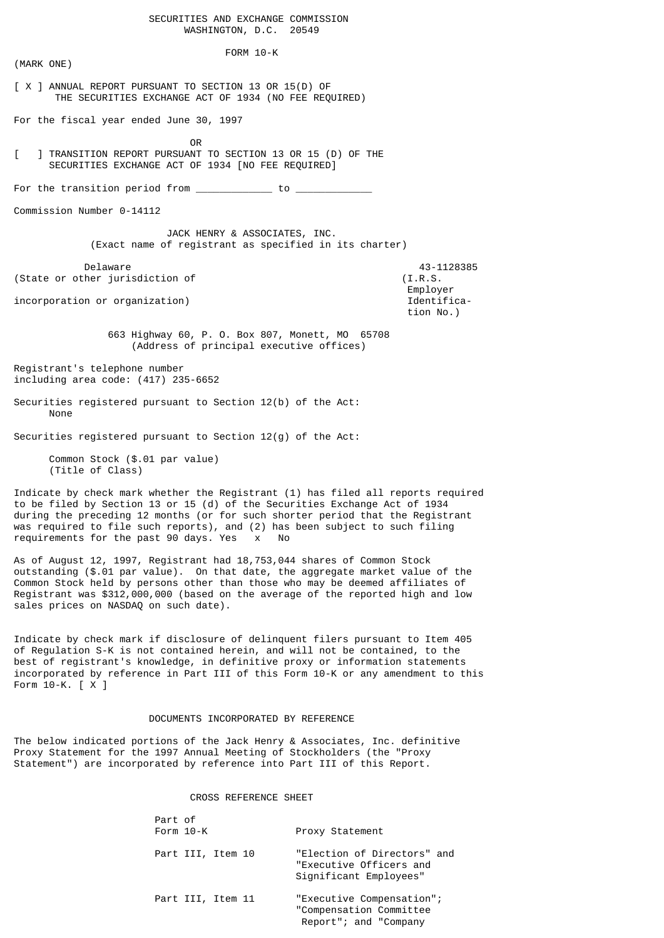SECURITIES AND EXCHANGE COMMISSION WASHINGTON, D.C. 20549

 FORM 10-K (MARK ONE) [ X ] ANNUAL REPORT PURSUANT TO SECTION 13 OR 15(D) OF THE SECURITIES EXCHANGE ACT OF 1934 (NO FEE REQUIRED) For the fiscal year ended June 30, 1997 **OR** Service Service Service Service Service Service Service Service Service Service Service Service Service Service Service Service Service Service Service Service Service Service Service Service Service Service Service S [ ] TRANSITION REPORT PURSUANT TO SECTION 13 OR 15 (D) OF THE SECURITIES EXCHANGE ACT OF 1934 [NO FEE REQUIRED] For the transition period from  $\sqrt{2}$  to  $\sqrt{2}$ Commission Number 0-14112 JACK HENRY & ASSOCIATES, INC. (Exact name of registrant as specified in its charter) Delaware 43-1128385 (State or other jurisdiction of (I.R.S. Employer incorporation or organization) and the control of the control of the control of the control of the control of the control of the control of the control of the control of the control of the control of the control of the con tion No.) 663 Highway 60, P. O. Box 807, Monett, MO 65708 (Address of principal executive offices) Registrant's telephone number including area code: (417) 235-6652 Securities registered pursuant to Section 12(b) of the Act: None Securities registered pursuant to Section 12(g) of the Act: Common Stock (\$.01 par value) (Title of Class) Indicate by check mark whether the Registrant (1) has filed all reports required

to be filed by Section 13 or 15 (d) of the Securities Exchange Act of 1934 during the preceding 12 months (or for such shorter period that the Registrant was required to file such reports), and (2) has been subject to such filing requirements for the past 90 days. Yes x No

As of August 12, 1997, Registrant had 18,753,044 shares of Common Stock outstanding (\$.01 par value). On that date, the aggregate market value of the Common Stock held by persons other than those who may be deemed affiliates of Registrant was \$312,000,000 (based on the average of the reported high and low sales prices on NASDAQ on such date).

Indicate by check mark if disclosure of delinquent filers pursuant to Item 405 of Regulation S-K is not contained herein, and will not be contained, to the best of registrant's knowledge, in definitive proxy or information statements incorporated by reference in Part III of this Form 10-K or any amendment to this Form 10-K. [ X ]

# DOCUMENTS INCORPORATED BY REFERENCE

The below indicated portions of the Jack Henry & Associates, Inc. definitive Proxy Statement for the 1997 Annual Meeting of Stockholders (the "Proxy Statement") are incorporated by reference into Part III of this Report.

# CROSS REFERENCE SHEET

| Part of<br>Form 10-K | Proxy Statement                                                                  |
|----------------------|----------------------------------------------------------------------------------|
| Part III, Item 10    | "Election of Directors" and<br>"Executive Officers and<br>Significant Employees" |
| Part III, Item 11    | "Executive Compensation";<br>"Compensation Committee<br>Report": and "Company    |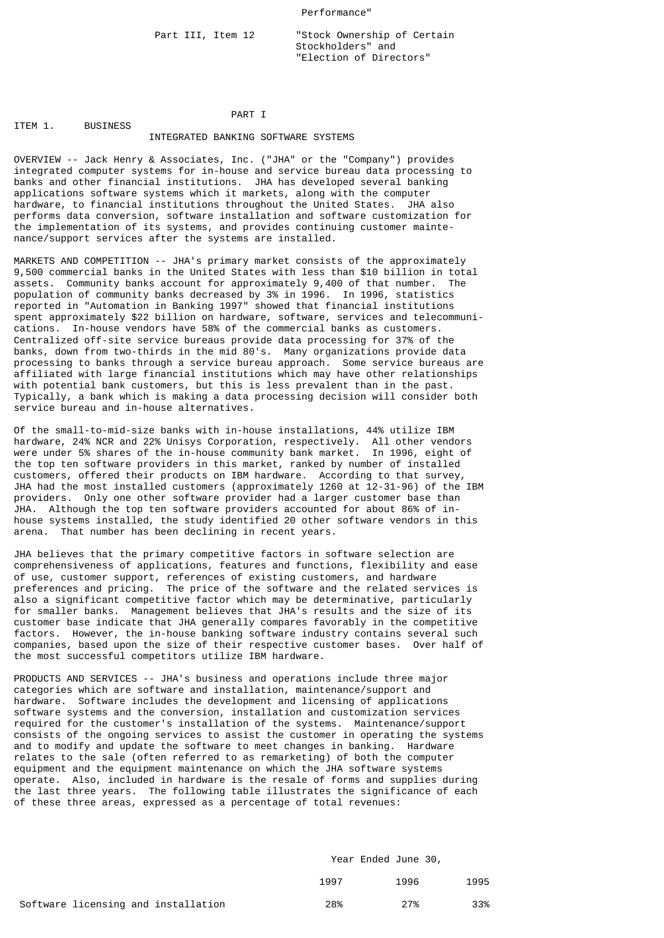## Performance"

Part III, Item 12 **Stock Ownership of Certain**  Stockholders" and "Election of Directors"

#### PART I ITEM 1. BUSINESS

## INTEGRATED BANKING SOFTWARE SYSTEMS

OVERVIEW -- Jack Henry & Associates, Inc. ("JHA" or the "Company") provides integrated computer systems for in-house and service bureau data processing to banks and other financial institutions. JHA has developed several banking applications software systems which it markets, along with the computer hardware, to financial institutions throughout the United States. JHA also performs data conversion, software installation and software customization for the implementation of its systems, and provides continuing customer maintenance/support services after the systems are installed.

MARKETS AND COMPETITION -- JHA's primary market consists of the approximately 9,500 commercial banks in the United States with less than \$10 billion in total assets. Community banks account for approximately 9,400 of that number. The population of community banks decreased by 3% in 1996. In 1996, statistics reported in "Automation in Banking 1997" showed that financial institutions spent approximately \$22 billion on hardware, software, services and telecommunications. In-house vendors have 58% of the commercial banks as customers. Centralized off-site service bureaus provide data processing for 37% of the banks, down from two-thirds in the mid 80's. Many organizations provide data processing to banks through a service bureau approach. Some service bureaus are affiliated with large financial institutions which may have other relationships with potential bank customers, but this is less prevalent than in the past. Typically, a bank which is making a data processing decision will consider both service bureau and in-house alternatives.

Of the small-to-mid-size banks with in-house installations, 44% utilize IBM hardware, 24% NCR and 22% Unisys Corporation, respectively. All other vendors were under 5% shares of the in-house community bank market. In 1996, eight of the top ten software providers in this market, ranked by number of installed customers, offered their products on IBM hardware. According to that survey, JHA had the most installed customers (approximately 1260 at 12-31-96) of the IBM providers. Only one other software provider had a larger customer base than JHA. Although the top ten software providers accounted for about 86% of inhouse systems installed, the study identified 20 other software vendors in this arena. That number has been declining in recent years.

JHA believes that the primary competitive factors in software selection are comprehensiveness of applications, features and functions, flexibility and ease of use, customer support, references of existing customers, and hardware preferences and pricing. The price of the software and the related services is also a significant competitive factor which may be determinative, particularly for smaller banks. Management believes that JHA's results and the size of its customer base indicate that JHA generally compares favorably in the competitive factors. However, the in-house banking software industry contains several such companies, based upon the size of their respective customer bases. Over half of the most successful competitors utilize IBM hardware.

PRODUCTS AND SERVICES -- JHA's business and operations include three major categories which are software and installation, maintenance/support and hardware. Software includes the development and licensing of applications software systems and the conversion, installation and customization services required for the customer's installation of the systems. Maintenance/support consists of the ongoing services to assist the customer in operating the systems and to modify and update the software to meet changes in banking. Hardware relates to the sale (often referred to as remarketing) of both the computer equipment and the equipment maintenance on which the JHA software systems operate. Also, included in hardware is the resale of forms and supplies during the last three years. The following table illustrates the significance of each of these three areas, expressed as a percentage of total revenues:

|                                     | Year Ended June 30, |      |      |  |  |
|-------------------------------------|---------------------|------|------|--|--|
|                                     | 1997                | 1996 | 1995 |  |  |
| Software licensing and installation | 28%                 | 27%  | 33%  |  |  |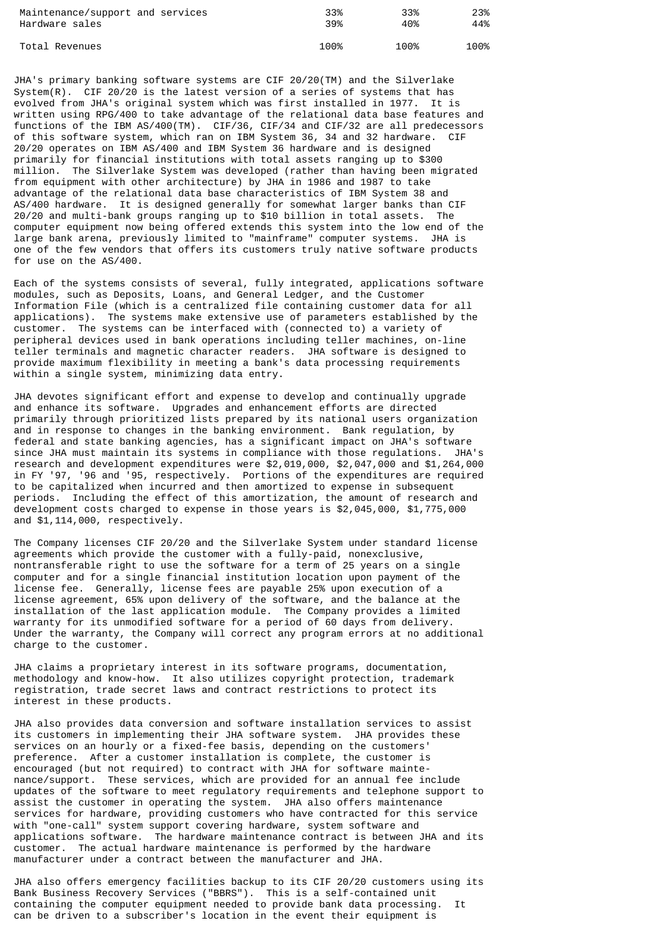| Maintenance/support and services | 33%  | 33%  | 23%  |
|----------------------------------|------|------|------|
| Hardware sales                   | 39%  | 40%  | 44%  |
| Total Revenues                   | 100% | 100% | 100% |

JHA's primary banking software systems are CIF 20/20(TM) and the Silverlake System $(R)$ . CIF 20/20 is the latest version of a series of systems that has evolved from JHA's original system which was first installed in 1977. It is written using RPG/400 to take advantage of the relational data base features and functions of the IBM AS/400(TM). CIF/36, CIF/34 and CIF/32 are all predecessors of this software system, which ran on IBM System 36, 34 and 32 hardware. CIF 20/20 operates on IBM AS/400 and IBM System 36 hardware and is designed primarily for financial institutions with total assets ranging up to \$300 million. The Silverlake System was developed (rather than having been migrated from equipment with other architecture) by JHA in 1986 and 1987 to take advantage of the relational data base characteristics of IBM System 38 and AS/400 hardware. It is designed generally for somewhat larger banks than CIF 20/20 and multi-bank groups ranging up to \$10 billion in total assets. The computer equipment now being offered extends this system into the low end of the large bank arena, previously limited to "mainframe" computer systems. JHA is one of the few vendors that offers its customers truly native software products for use on the AS/400.

Each of the systems consists of several, fully integrated, applications software modules, such as Deposits, Loans, and General Ledger, and the Customer Information File (which is a centralized file containing customer data for all applications). The systems make extensive use of parameters established by the customer. The systems can be interfaced with (connected to) a variety of peripheral devices used in bank operations including teller machines, on-line teller terminals and magnetic character readers. JHA software is designed to provide maximum flexibility in meeting a bank's data processing requirements within a single system, minimizing data entry.

JHA devotes significant effort and expense to develop and continually upgrade and enhance its software. Upgrades and enhancement efforts are directed primarily through prioritized lists prepared by its national users organization and in response to changes in the banking environment. Bank regulation, by federal and state banking agencies, has a significant impact on JHA's software since JHA must maintain its systems in compliance with those regulations. JHA's research and development expenditures were \$2,019,000, \$2,047,000 and \$1,264,000 in FY '97, '96 and '95, respectively. Portions of the expenditures are required to be capitalized when incurred and then amortized to expense in subsequent periods. Including the effect of this amortization, the amount of research and development costs charged to expense in those years is \$2,045,000, \$1,775,000 and \$1,114,000, respectively.

The Company licenses CIF 20/20 and the Silverlake System under standard license agreements which provide the customer with a fully-paid, nonexclusive, nontransferable right to use the software for a term of 25 years on a single computer and for a single financial institution location upon payment of the license fee. Generally, license fees are payable 25% upon execution of a license agreement, 65% upon delivery of the software, and the balance at the installation of the last application module. The Company provides a limited warranty for its unmodified software for a period of 60 days from delivery. Under the warranty, the Company will correct any program errors at no additional charge to the customer.

JHA claims a proprietary interest in its software programs, documentation, methodology and know-how. It also utilizes copyright protection, trademark registration, trade secret laws and contract restrictions to protect its interest in these products.

JHA also provides data conversion and software installation services to assist its customers in implementing their JHA software system. JHA provides these services on an hourly or a fixed-fee basis, depending on the customers' preference. After a customer installation is complete, the customer is encouraged (but not required) to contract with JHA for software maintenance/support. These services, which are provided for an annual fee include updates of the software to meet regulatory requirements and telephone support to assist the customer in operating the system. JHA also offers maintenance services for hardware, providing customers who have contracted for this service with "one-call" system support covering hardware, system software and applications software. The hardware maintenance contract is between JHA and its customer. The actual hardware maintenance is performed by the hardware manufacturer under a contract between the manufacturer and JHA.

JHA also offers emergency facilities backup to its CIF 20/20 customers using its Bank Business Recovery Services ("BBRS"). This is a self-contained unit containing the computer equipment needed to provide bank data processing. It can be driven to a subscriber's location in the event their equipment is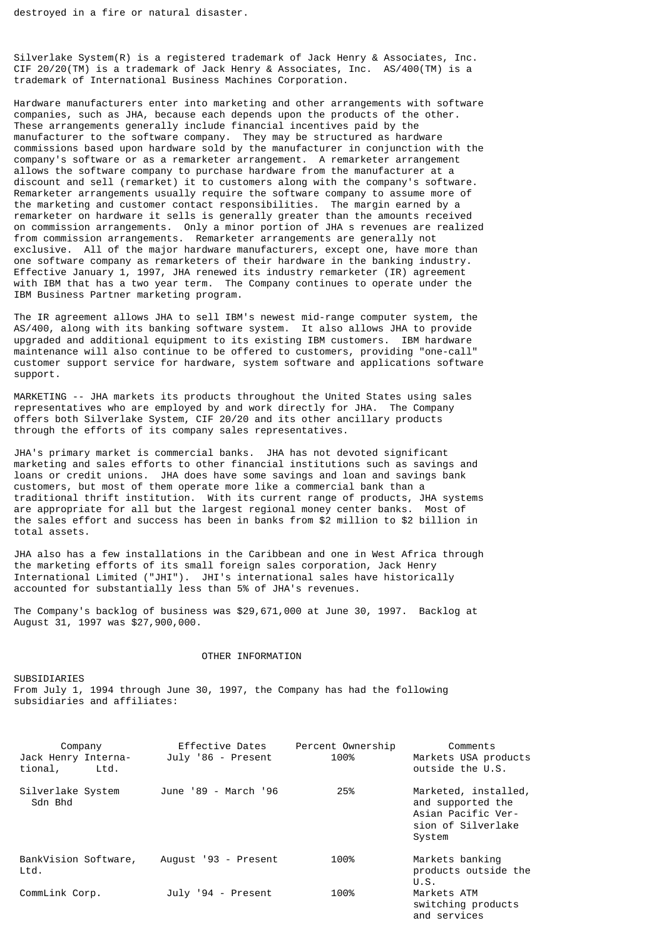Silverlake System(R) is a registered trademark of Jack Henry & Associates, Inc. CIF 20/20(TM) is a trademark of Jack Henry & Associates, Inc. AS/400(TM) is a trademark of International Business Machines Corporation.

Hardware manufacturers enter into marketing and other arrangements with software companies, such as JHA, because each depends upon the products of the other. These arrangements generally include financial incentives paid by the manufacturer to the software company. They may be structured as hardware commissions based upon hardware sold by the manufacturer in conjunction with the company's software or as a remarketer arrangement. A remarketer arrangement allows the software company to purchase hardware from the manufacturer at a discount and sell (remarket) it to customers along with the company's software. Remarketer arrangements usually require the software company to assume more of the marketing and customer contact responsibilities. The margin earned by a remarketer on hardware it sells is generally greater than the amounts received on commission arrangements. Only a minor portion of JHA s revenues are realized from commission arrangements. Remarketer arrangements are generally not exclusive. All of the major hardware manufacturers, except one, have more than one software company as remarketers of their hardware in the banking industry. Effective January 1, 1997, JHA renewed its industry remarketer (IR) agreement with IBM that has a two year term. The Company continues to operate under the IBM Business Partner marketing program.

The IR agreement allows JHA to sell IBM's newest mid-range computer system, the AS/400, along with its banking software system. It also allows JHA to provide upgraded and additional equipment to its existing IBM customers. IBM hardware maintenance will also continue to be offered to customers, providing "one-call" customer support service for hardware, system software and applications software support.

MARKETING -- JHA markets its products throughout the United States using sales representatives who are employed by and work directly for JHA. The Company offers both Silverlake System, CIF 20/20 and its other ancillary products through the efforts of its company sales representatives.

JHA's primary market is commercial banks. JHA has not devoted significant marketing and sales efforts to other financial institutions such as savings and loans or credit unions. JHA does have some savings and loan and savings bank customers, but most of them operate more like a commercial bank than a traditional thrift institution. With its current range of products, JHA systems are appropriate for all but the largest regional money center banks. Most of the sales effort and success has been in banks from \$2 million to \$2 billion in total assets.

JHA also has a few installations in the Caribbean and one in West Africa through the marketing efforts of its small foreign sales corporation, Jack Henry International Limited ("JHI"). JHI's international sales have historically accounted for substantially less than 5% of JHA's revenues.

The Company's backlog of business was \$29,671,000 at June 30, 1997. Backlog at August 31, 1997 was \$27,900,000.

## OTHER INFORMATION

**SUBSIDIARIES** From July 1, 1994 through June 30, 1997, the Company has had the following subsidiaries and affiliates:

| Company<br>Jack Henry Interna-<br>tional,<br>Ltd. | Effective Dates<br>July '86 - Present | Percent Ownership<br>100% | Comments<br>Markets USA products<br>outside the U.S.                                            |
|---------------------------------------------------|---------------------------------------|---------------------------|-------------------------------------------------------------------------------------------------|
| Silverlake System<br>Sdn Bhd                      | June '89 - March '96                  | 25%                       | Marketed, installed,<br>and supported the<br>Asian Pacific Ver-<br>sion of Silverlake<br>System |
| BankVision Software,<br>Ltd.                      | August '93 - Present                  | 100%                      | Markets banking<br>products outside the<br>U.S.                                                 |
| CommLink Corp.                                    | July '94 - Present                    | 100%                      | Markets ATM<br>switching products<br>and services                                               |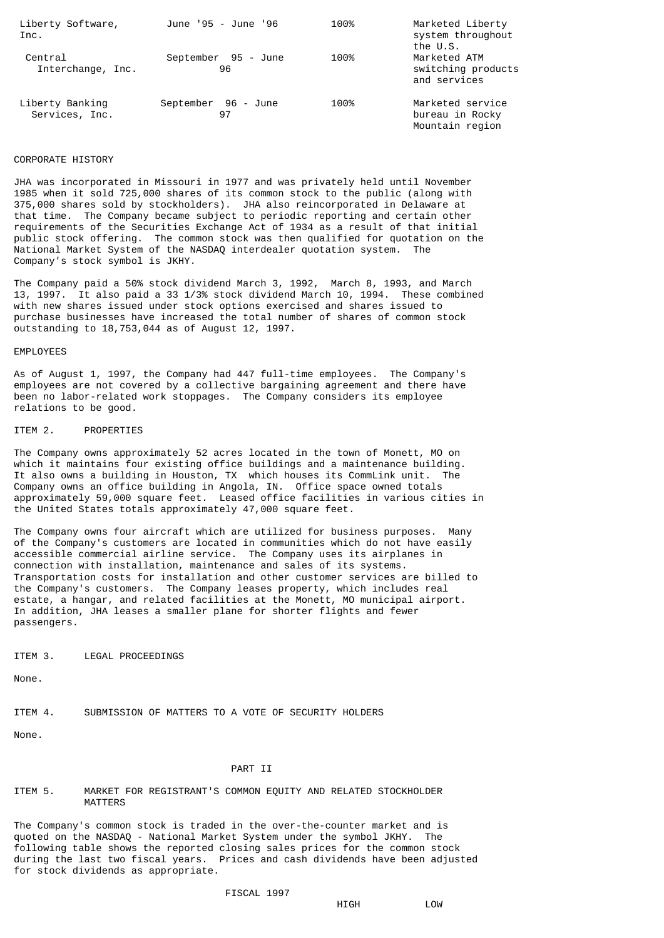| Liberty Software,<br>Inc.         | June '95 - June '96       | 100% | Marketed Liberty<br>system throughout<br>the U.S.      |
|-----------------------------------|---------------------------|------|--------------------------------------------------------|
| Central<br>Interchange, Inc.      | September 95 - June<br>96 | 100% | Marketed ATM<br>switching products<br>and services     |
| Liberty Banking<br>Services, Inc. | September 96 - June<br>97 | 100% | Marketed service<br>bureau in Rocky<br>Mountain region |

## CORPORATE HISTORY

JHA was incorporated in Missouri in 1977 and was privately held until November 1985 when it sold 725,000 shares of its common stock to the public (along with 375,000 shares sold by stockholders). JHA also reincorporated in Delaware at that time. The Company became subject to periodic reporting and certain other requirements of the Securities Exchange Act of 1934 as a result of that initial public stock offering. The common stock was then qualified for quotation on the National Market System of the NASDAQ interdealer quotation system. The Company's stock symbol is JKHY.

The Company paid a 50% stock dividend March 3, 1992, March 8, 1993, and March 13, 1997. It also paid a 33 1/3% stock dividend March 10, 1994. These combined with new shares issued under stock options exercised and shares issued to purchase businesses have increased the total number of shares of common stock outstanding to 18,753,044 as of August 12, 1997.

## EMPLOYEES

As of August 1, 1997, the Company had 447 full-time employees. The Company's employees are not covered by a collective bargaining agreement and there have been no labor-related work stoppages. The Company considers its employee relations to be good.

## ITEM 2. PROPERTIES

The Company owns approximately 52 acres located in the town of Monett, MO on which it maintains four existing office buildings and a maintenance building. It also owns a building in Houston, TX which houses its CommLink unit. The Company owns an office building in Angola, IN. Office space owned totals approximately 59,000 square feet. Leased office facilities in various cities in the United States totals approximately 47,000 square feet.

The Company owns four aircraft which are utilized for business purposes. Many of the Company's customers are located in communities which do not have easily accessible commercial airline service. The Company uses its airplanes in connection with installation, maintenance and sales of its systems. Transportation costs for installation and other customer services are billed to the Company's customers. The Company leases property, which includes real estate, a hangar, and related facilities at the Monett, MO municipal airport. In addition, JHA leases a smaller plane for shorter flights and fewer passengers.

# ITEM 3. LEGAL PROCEEDINGS

None.

ITEM 4. SUBMISSION OF MATTERS TO A VOTE OF SECURITY HOLDERS

None.

## PART II

## ITEM 5. MARKET FOR REGISTRANT'S COMMON EQUITY AND RELATED STOCKHOLDER MATTERS

The Company's common stock is traded in the over-the-counter market and is quoted on the NASDAQ - National Market System under the symbol JKHY. The following table shows the reported closing sales prices for the common stock during the last two fiscal years. Prices and cash dividends have been adjusted for stock dividends as appropriate.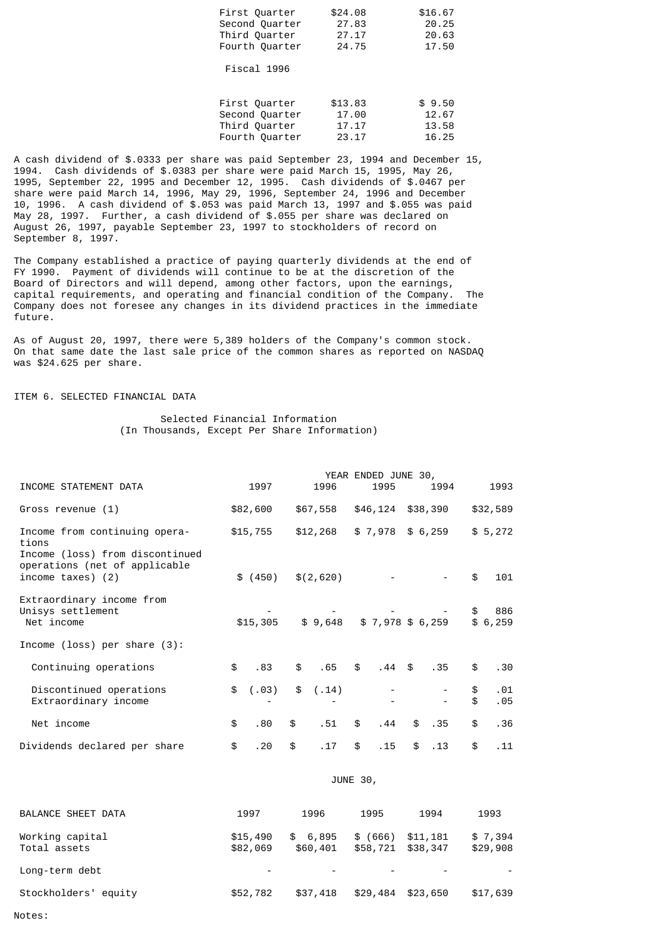| First Ouarter  | \$24,08 | \$16.67 |
|----------------|---------|---------|
| Second Quarter | 27.83   | 20.25   |
| Third Quarter  | 27.17   | 20.63   |
| Fourth Quarter | 24.75   | 17.50   |

Fiscal 1996

| First Ouarter  | \$13.83 | \$9.50 |
|----------------|---------|--------|
| Second Quarter | 17.00   | 12.67  |
| Third Quarter  | 17.17   | 13.58  |
| Fourth Quarter | 23.17   | 16.25  |

A cash dividend of \$.0333 per share was paid September 23, 1994 and December 15, 1994. Cash dividends of \$.0383 per share were paid March 15, 1995, May 26, 1995, September 22, 1995 and December 12, 1995. Cash dividends of \$.0467 per share were paid March 14, 1996, May 29, 1996, September 24, 1996 and December 10, 1996. A cash dividend of \$.053 was paid March 13, 1997 and \$.055 was paid May 28, 1997. Further, a cash dividend of \$.055 per share was declared on August 26, 1997, payable September 23, 1997 to stockholders of record on September 8, 1997.

The Company established a practice of paying quarterly dividends at the end of FY 1990. Payment of dividends will continue to be at the discretion of the Board of Directors and will depend, among other factors, upon the earnings, capital requirements, and operating and financial condition of the Company. The Company does not foresee any changes in its dividend practices in the immediate future.

As of August 20, 1997, there were 5,389 holders of the Company's common stock. On that same date the last sale price of the common shares as reported on NASDAQ was \$24.625 per share.

# ITEM 6. SELECTED FINANCIAL DATA

 Selected Financial Information (In Thousands, Except Per Share Information)

|                                                                                                            | YEAR ENDED JUNE 30, |          |    |           |    |                  |    |                   |          |                |
|------------------------------------------------------------------------------------------------------------|---------------------|----------|----|-----------|----|------------------|----|-------------------|----------|----------------|
| INCOME STATEMENT DATA                                                                                      |                     | 1997     |    | 1996      |    | 1995             |    | 1994              |          | 1993           |
| Gross revenue (1)                                                                                          |                     | \$82,600 |    | \$67,558  |    | \$46,124         |    | \$38,390          |          | \$32,589       |
| Income from continuing opera-<br>tions<br>Income (loss) from discontinued<br>operations (net of applicable |                     | \$15,755 |    | \$12,268  |    |                  |    | $$7,978$ $$6,259$ |          | \$5,272        |
| income taxes) (2)                                                                                          |                     | \$ (450) |    | \$(2,620) |    |                  |    |                   | \$       | 101            |
| Extraordinary income from<br>Unisys settlement<br>Net income                                               |                     | \$15,305 |    | \$9,648   |    | $$7,978$ \$6,259 |    |                   | \$       | 886<br>\$6,259 |
| Income (loss) per share $(3)$ :                                                                            |                     |          |    |           |    |                  |    |                   |          |                |
| Continuing operations                                                                                      | \$                  | .83      | \$ | .65       | \$ | $.44 \&$         |    | .35               | \$       | .30            |
| Discontinued operations<br>Extraordinary income                                                            | \$                  | (.03)    | \$ | (.14)     |    |                  |    |                   | \$<br>\$ | .01<br>.05     |
| Net income                                                                                                 | \$                  | .80      | \$ | .51       | \$ | .44              | \$ | .35               | \$       | .36            |
| Dividends declared per share                                                                               | \$                  | .20      | \$ | .17       | \$ | . 15             | \$ | .13               | \$       | .11            |

## JUNE 30,

| <b>BALANCE SHEET DATA</b>       | 1997                     | 1996                | 1995                          | 1994     | 1993                |
|---------------------------------|--------------------------|---------------------|-------------------------------|----------|---------------------|
| Working capital<br>Total assets | \$15,490<br>\$82,069     | \$6,895<br>\$60,401 | \$ (666)<br>\$58,721 \$38,347 | \$11,181 | \$7,394<br>\$29,908 |
| Long-term debt                  | $\overline{\phantom{a}}$ |                     |                               | -        |                     |
| Stockholders' equity            | \$52,782                 | \$37,418            | \$29,484                      | \$23,650 | \$17,639            |

Notes: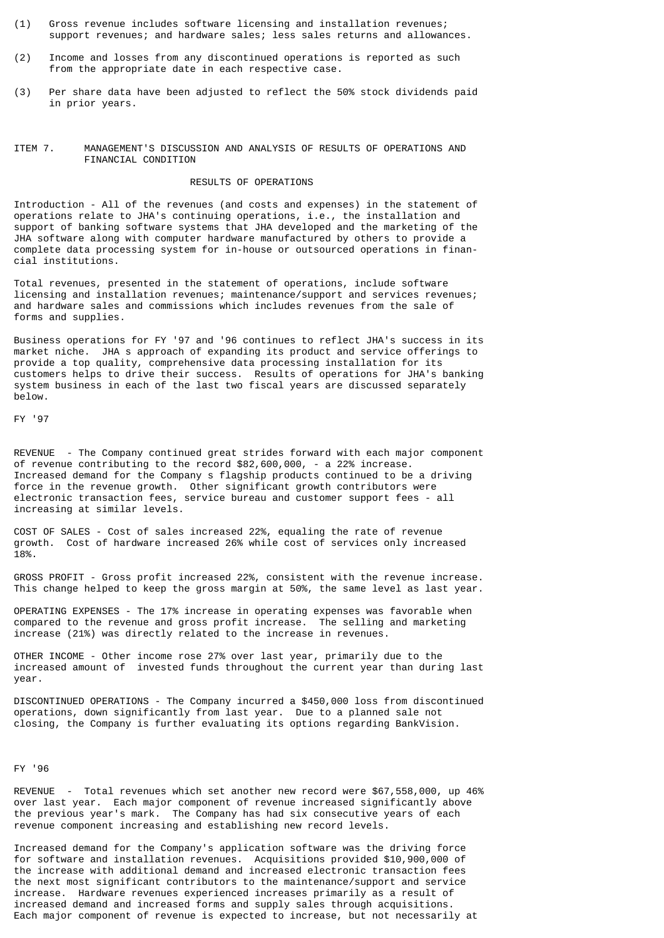- (1) Gross revenue includes software licensing and installation revenues; support revenues; and hardware sales; less sales returns and allowances.
- (2) Income and losses from any discontinued operations is reported as such from the appropriate date in each respective case.
- (3) Per share data have been adjusted to reflect the 50% stock dividends paid in prior years.
- ITEM 7. MANAGEMENT'S DISCUSSION AND ANALYSIS OF RESULTS OF OPERATIONS AND FINANCIAL CONDITION

# RESULTS OF OPERATIONS

Introduction - All of the revenues (and costs and expenses) in the statement of operations relate to JHA's continuing operations, i.e., the installation and support of banking software systems that JHA developed and the marketing of the JHA software along with computer hardware manufactured by others to provide a complete data processing system for in-house or outsourced operations in financial institutions.

Total revenues, presented in the statement of operations, include software licensing and installation revenues; maintenance/support and services revenues; and hardware sales and commissions which includes revenues from the sale of forms and supplies.

Business operations for FY '97 and '96 continues to reflect JHA's success in its market niche. JHA s approach of expanding its product and service offerings to provide a top quality, comprehensive data processing installation for its customers helps to drive their success. Results of operations for JHA's banking system business in each of the last two fiscal years are discussed separately below.

FY '97

REVENUE - The Company continued great strides forward with each major component of revenue contributing to the record \$82,600,000, - a 22% increase. Increased demand for the Company s flagship products continued to be a driving force in the revenue growth. Other significant growth contributors were electronic transaction fees, service bureau and customer support fees - all increasing at similar levels.

COST OF SALES - Cost of sales increased 22%, equaling the rate of revenue growth. Cost of hardware increased 26% while cost of services only increased 18%.

GROSS PROFIT - Gross profit increased 22%, consistent with the revenue increase. This change helped to keep the gross margin at 50%, the same level as last year.

OPERATING EXPENSES - The 17% increase in operating expenses was favorable when compared to the revenue and gross profit increase. The selling and marketing increase (21%) was directly related to the increase in revenues.

OTHER INCOME - Other income rose 27% over last year, primarily due to the increased amount of invested funds throughout the current year than during last year.

DISCONTINUED OPERATIONS - The Company incurred a \$450,000 loss from discontinued operations, down significantly from last year. Due to a planned sale not closing, the Company is further evaluating its options regarding BankVision.

FY '96

REVENUE - Total revenues which set another new record were \$67,558,000, up 46% over last year. Each major component of revenue increased significantly above the previous year's mark. The Company has had six consecutive years of each revenue component increasing and establishing new record levels.

Increased demand for the Company's application software was the driving force for software and installation revenues. Acquisitions provided \$10,900,000 of the increase with additional demand and increased electronic transaction fees the next most significant contributors to the maintenance/support and service increase. Hardware revenues experienced increases primarily as a result of increased demand and increased forms and supply sales through acquisitions. Each major component of revenue is expected to increase, but not necessarily at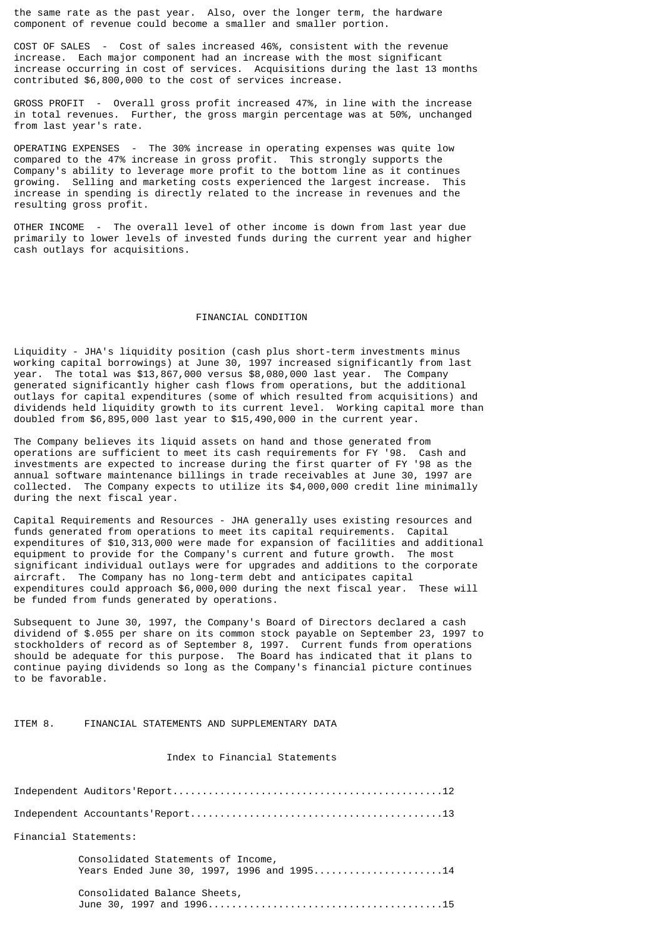the same rate as the past year. Also, over the longer term, the hardware component of revenue could become a smaller and smaller portion.

COST OF SALES - Cost of sales increased 46%, consistent with the revenue increase. Each major component had an increase with the most significant increase occurring in cost of services. Acquisitions during the last 13 months contributed \$6,800,000 to the cost of services increase.

GROSS PROFIT - Overall gross profit increased 47%, in line with the increase in total revenues. Further, the gross margin percentage was at 50%, unchanged from last year's rate.

OPERATING EXPENSES - The 30% increase in operating expenses was quite low compared to the 47% increase in gross profit. This strongly supports the Company's ability to leverage more profit to the bottom line as it continues<br>growing Selling and marketing costs experienced the largest increase. This growing. Selling and marketing costs experienced the largest increase. increase in spending is directly related to the increase in revenues and the resulting gross profit.

OTHER INCOME - The overall level of other income is down from last year due primarily to lower levels of invested funds during the current year and higher cash outlays for acquisitions.

# FINANCIAL CONDITION

Liquidity - JHA's liquidity position (cash plus short-term investments minus working capital borrowings) at June 30, 1997 increased significantly from last year. The total was \$13,867,000 versus \$8,080,000 last year. The Company generated significantly higher cash flows from operations, but the additional outlays for capital expenditures (some of which resulted from acquisitions) and dividends held liquidity growth to its current level. Working capital more than doubled from \$6,895,000 last year to \$15,490,000 in the current year.

The Company believes its liquid assets on hand and those generated from operations are sufficient to meet its cash requirements for FY '98. Cash and investments are expected to increase during the first quarter of FY '98 as the annual software maintenance billings in trade receivables at June 30, 1997 are collected. The Company expects to utilize its \$4,000,000 credit line minimally during the next fiscal year.

Capital Requirements and Resources - JHA generally uses existing resources and funds generated from operations to meet its capital requirements. Capital expenditures of \$10,313,000 were made for expansion of facilities and additional equipment to provide for the Company's current and future growth. The most significant individual outlays were for upgrades and additions to the corporate aircraft. The Company has no long-term debt and anticipates capital expenditures could approach \$6,000,000 during the next fiscal year. These will be funded from funds generated by operations.

Subsequent to June 30, 1997, the Company's Board of Directors declared a cash dividend of \$.055 per share on its common stock payable on September 23, 1997 to stockholders of record as of September 8, 1997. Current funds from operations should be adequate for this purpose. The Board has indicated that it plans to continue paying dividends so long as the Company's financial picture continues to be favorable.

ITEM 8. FINANCIAL STATEMENTS AND SUPPLEMENTARY DATA

# Index to Financial Statements

| Financial Statements:                                                            |
|----------------------------------------------------------------------------------|
| Consolidated Statements of Income,<br>Years Ended June 30, 1997, 1996 and 199514 |
| Consolidated Balance Sheets,                                                     |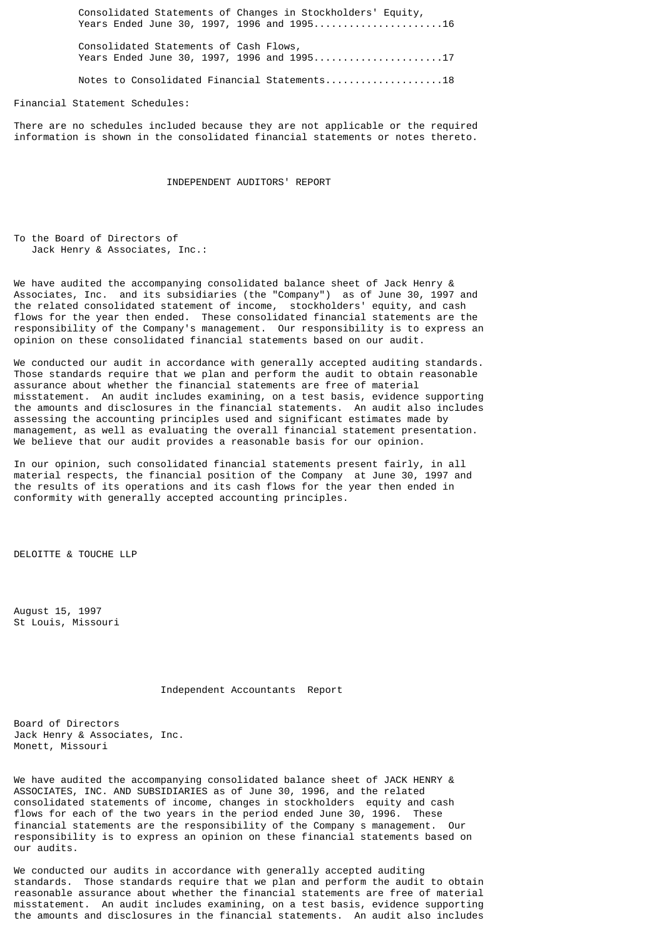Consolidated Statements of Changes in Stockholders' Equity, Years Ended June 30, 1997, 1996 and 1995......................16

 Consolidated Statements of Cash Flows, Years Ended June 30, 1997, 1996 and 1995.........................17

Notes to Consolidated Financial Statements....................18

Financial Statement Schedules:

There are no schedules included because they are not applicable or the required information is shown in the consolidated financial statements or notes thereto.

INDEPENDENT AUDITORS' REPORT

To the Board of Directors of Jack Henry & Associates, Inc.:

We have audited the accompanying consolidated balance sheet of Jack Henry & Associates, Inc. and its subsidiaries (the "Company") as of June 30, 1997 and the related consolidated statement of income, stockholders' equity, and cash flows for the year then ended. These consolidated financial statements are the responsibility of the Company's management. Our responsibility is to express an opinion on these consolidated financial statements based on our audit.

We conducted our audit in accordance with generally accepted auditing standards. Those standards require that we plan and perform the audit to obtain reasonable assurance about whether the financial statements are free of material misstatement. An audit includes examining, on a test basis, evidence supporting the amounts and disclosures in the financial statements. An audit also includes assessing the accounting principles used and significant estimates made by management, as well as evaluating the overall financial statement presentation. We believe that our audit provides a reasonable basis for our opinion.

In our opinion, such consolidated financial statements present fairly, in all material respects, the financial position of the Company at June 30, 1997 and the results of its operations and its cash flows for the year then ended in conformity with generally accepted accounting principles.

DELOITTE & TOUCHE LLP

August 15, 1997 St Louis, Missouri

Independent Accountants Report

Board of Directors Jack Henry & Associates, Inc. Monett, Missouri

We have audited the accompanying consolidated balance sheet of JACK HENRY & ASSOCIATES, INC. AND SUBSIDIARIES as of June 30, 1996, and the related consolidated statements of income, changes in stockholders equity and cash flows for each of the two years in the period ended June 30, 1996. These financial statements are the responsibility of the Company s management. Our responsibility is to express an opinion on these financial statements based on our audits.

We conducted our audits in accordance with generally accepted auditing standards. Those standards require that we plan and perform the audit to obtain reasonable assurance about whether the financial statements are free of material misstatement. An audit includes examining, on a test basis, evidence supporting the amounts and disclosures in the financial statements. An audit also includes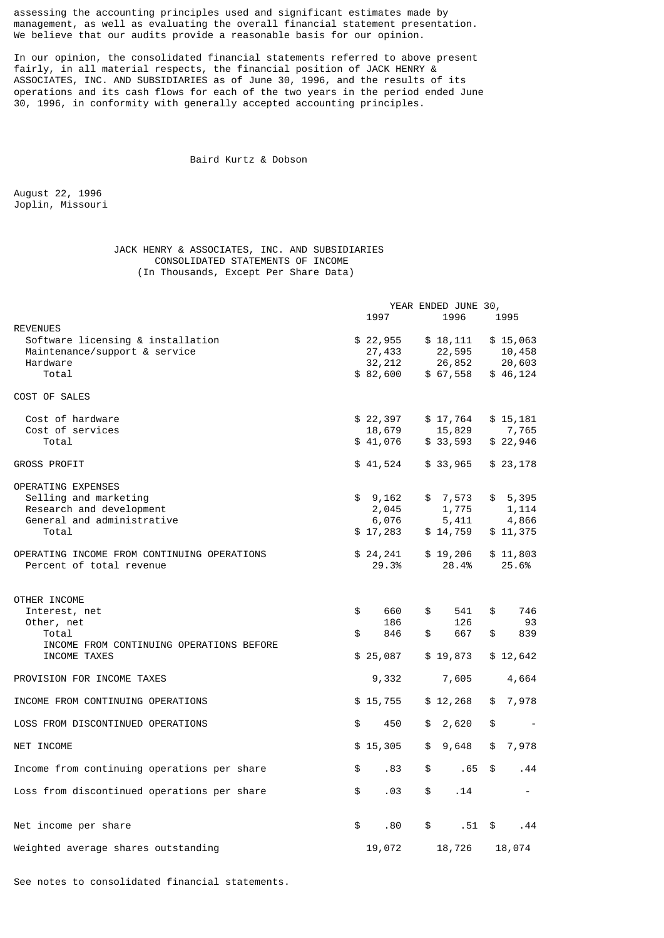assessing the accounting principles used and significant estimates made by management, as well as evaluating the overall financial statement presentation. We believe that our audits provide a reasonable basis for our opinion.

In our opinion, the consolidated financial statements referred to above present fairly, in all material respects, the financial position of JACK HENRY & ASSOCIATES, INC. AND SUBSIDIARIES as of June 30, 1996, and the results of its operations and its cash flows for each of the two years in the period ended June 30, 1996, in conformity with generally accepted accounting principles.

# Baird Kurtz & Dobson

August 22, 1996 Joplin, Missouri

# JACK HENRY & ASSOCIATES, INC. AND SUBSIDIARIES CONSOLIDATED STATEMENTS OF INCOME (In Thousands, Except Per Share Data)

| <b>REVENUES</b>                                                                                                | 1997                                     |          | YEAR ENDED JUNE 30,<br>1996              |          | 1995                                     |
|----------------------------------------------------------------------------------------------------------------|------------------------------------------|----------|------------------------------------------|----------|------------------------------------------|
| Software licensing & installation<br>Maintenance/support & service<br>Hardware<br>Total                        | \$22,955<br>27,433<br>32,212<br>\$82,600 |          | \$18,111<br>22,595<br>26,852<br>\$67,558 |          | \$15,063<br>10,458<br>20,603<br>\$46,124 |
| COST OF SALES                                                                                                  |                                          |          |                                          |          |                                          |
| Cost of hardware<br>Cost of services<br>Total                                                                  | \$22,397<br>18,679<br>\$41,076           |          | \$17,764<br>15,829<br>\$33,593           |          | \$15,181<br>7,765<br>\$22,946            |
| <b>GROSS PROFIT</b>                                                                                            | \$41,524                                 |          | \$33,965                                 |          | \$23,178                                 |
| OPERATING EXPENSES<br>Selling and marketing<br>Research and development<br>General and administrative<br>Total | \$9,162<br>2,045<br>6,076<br>\$17,283    |          | \$7,573<br>1,775<br>5,411<br>\$14,759    |          | \$5,395<br>1,114<br>4,866<br>\$11,375    |
| OPERATING INCOME FROM CONTINUING OPERATIONS<br>Percent of total revenue                                        | \$24,241<br>29.3%                        |          | \$19,206<br>28.4%                        |          | \$11,803<br>25.6%                        |
| OTHER INCOME<br>Interest, net<br>\$<br>Other, net<br>\$<br>Total                                               | 660<br>186<br>846                        | \$<br>\$ | 541<br>126<br>667                        | \$<br>\$ | 746<br>93<br>839                         |
| INCOME FROM CONTINUING OPERATIONS BEFORE<br>INCOME TAXES                                                       | \$25,087                                 |          | \$19,873                                 |          | \$12,642                                 |
| PROVISION FOR INCOME TAXES                                                                                     | 9,332                                    |          | 7,605                                    |          | 4,664                                    |
| INCOME FROM CONTINUING OPERATIONS                                                                              | \$15,755                                 |          | \$12,268                                 | \$       | 7,978                                    |
| LOSS FROM DISCONTINUED OPERATIONS<br>\$                                                                        | 450                                      | \$       | 2,620                                    | \$       | $\overline{\phantom{a}}$                 |
| NET INCOME                                                                                                     | \$15,305                                 | \$       | 9,648                                    | \$       | 7,978                                    |
| Income from continuing operations per share<br>\$                                                              | .83                                      | \$       | .65                                      | \$       | .44                                      |
| \$<br>Loss from discontinued operations per share                                                              | .03                                      | \$       | .14                                      |          | $\sim$                                   |
| \$<br>Net income per share                                                                                     | .80                                      | \$       | .51                                      | \$       | .44                                      |
| Weighted average shares outstanding                                                                            | 19,072                                   |          | 18,726                                   |          | 18,074                                   |

See notes to consolidated financial statements.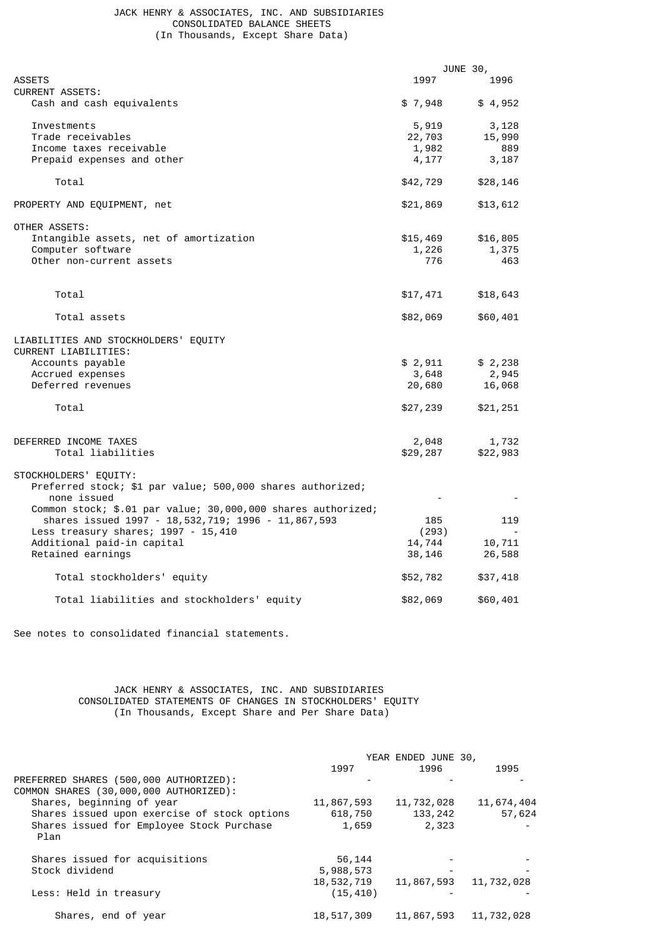# JACK HENRY & ASSOCIATES, INC. AND SUBSIDIARIES CONSOLIDATED BALANCE SHEETS (In Thousands, Except Share Data)

|                                                              |          | JUNE 30, |
|--------------------------------------------------------------|----------|----------|
| <b>ASSETS</b>                                                | 1997     | 1996     |
| <b>CURRENT ASSETS:</b>                                       |          |          |
| Cash and cash equivalents                                    | \$7,948  | \$4,952  |
| Investments                                                  | 5,919    | 3,128    |
| Trade receivables                                            | 22,703   | 15,990   |
| Income taxes receivable                                      | 1,982    | 889      |
| Prepaid expenses and other                                   | 4,177    | 3,187    |
| Total                                                        | \$42,729 | \$28,146 |
| PROPERTY AND EQUIPMENT, net                                  | \$21,869 | \$13,612 |
| OTHER ASSETS:                                                |          |          |
| Intangible assets, net of amortization                       | \$15,469 | \$16,805 |
| Computer software                                            | 1,226    | 1,375    |
| Other non-current assets                                     | 776      | 463      |
|                                                              |          |          |
| Total                                                        | \$17,471 | \$18,643 |
| Total assets                                                 | \$82,069 | \$60,401 |
| LIABILITIES AND STOCKHOLDERS' EQUITY<br>CURRENT LIABILITIES: |          |          |
| Accounts payable                                             | \$ 2,911 | \$2,238  |
| Accrued expenses                                             | 3,648    | 2,945    |
| Deferred revenues                                            | 20,680   | 16,068   |
| Total                                                        | \$27,239 | \$21,251 |
|                                                              |          |          |
| DEFERRED INCOME TAXES                                        | 2,048    | 1,732    |
| Total liabilities                                            | \$29,287 | \$22,983 |
| STOCKHOLDERS' EQUITY:                                        |          |          |
| Preferred stock; \$1 par value; 500,000 shares authorized;   |          |          |
| none issued                                                  |          |          |
| Common stock; \$.01 par value; 30,000,000 shares authorized; |          |          |
| shares issued 1997 - 18, 532, 719; 1996 - 11, 867, 593       | 185      | 119      |
| Less treasury shares; 1997 - 15,410                          | (293)    |          |
| Additional paid-in capital                                   | 14,744   | 10,711   |
| Retained earnings                                            | 38,146   | 26,588   |
| Total stockholders' equity                                   | \$52,782 | \$37,418 |
| Total liabilities and stockholders' equity                   | \$82,069 | \$60,401 |

See notes to consolidated financial statements.

# JACK HENRY & ASSOCIATES, INC. AND SUBSIDIARIES CONSOLIDATED STATEMENTS OF CHANGES IN STOCKHOLDERS' EQUITY (In Thousands, Except Share and Per Share Data)

|                                                                                  | YEAR ENDED JUNE 30, |            |            |  |
|----------------------------------------------------------------------------------|---------------------|------------|------------|--|
|                                                                                  | 1997                | 1996       | 1995       |  |
| PREFERRED SHARES (500,000 AUTHORIZED):<br>COMMON SHARES (30,000,000 AUTHORIZED): |                     |            |            |  |
| Shares, beginning of year                                                        | 11,867,593          | 11,732,028 | 11,674,404 |  |
| Shares issued upon exercise of stock options                                     | 618,750             | 133, 242   | 57,624     |  |
| Shares issued for Employee Stock Purchase<br>Plan                                | 1,659               | 2,323      |            |  |
| Shares issued for acquisitions                                                   | 56,144              |            |            |  |
| Stock dividend                                                                   | 5,988,573           |            |            |  |
|                                                                                  | 18,532,719          | 11,867,593 | 11,732,028 |  |
| Less: Held in treasury                                                           | (15, 410)           |            |            |  |
| Shares, end of year                                                              | 18,517,309          | 11,867,593 | 11,732,028 |  |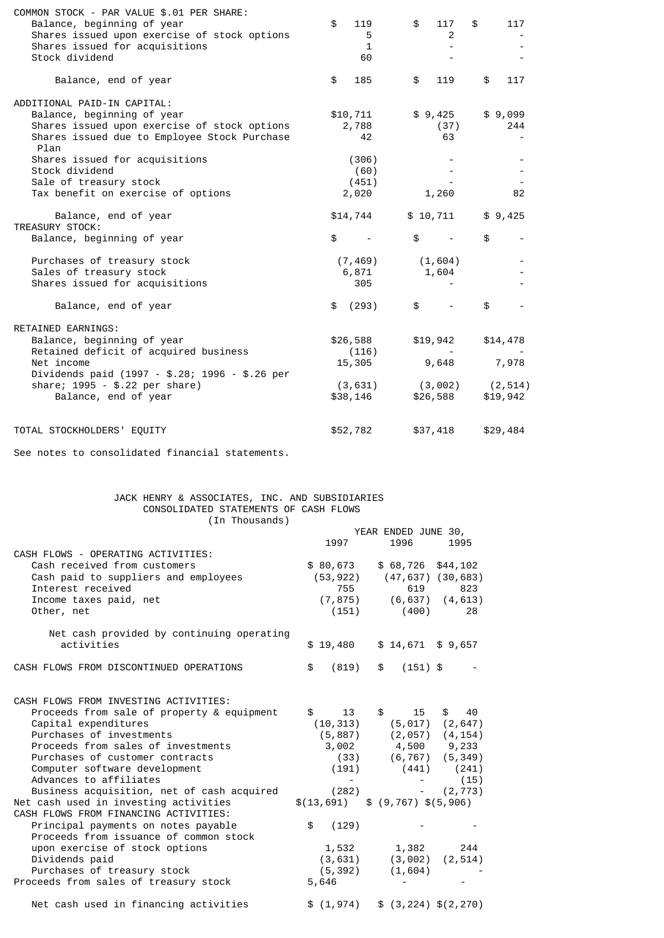| COMMON STOCK - PAR VALUE \$.01 PER SHARE:            |              |                          |           |
|------------------------------------------------------|--------------|--------------------------|-----------|
| Balance, beginning of year                           | \$<br>119    | \$<br>117                | \$<br>117 |
| Shares issued upon exercise of stock options         | 5            | 2                        |           |
| Shares issued for acquisitions                       | $\mathbf{1}$ | $\overline{\phantom{0}}$ |           |
| Stock dividend                                       | 60           |                          |           |
| Balance, end of year                                 | \$<br>185    | \$<br>119                | \$<br>117 |
| ADDITIONAL PAID-IN CAPITAL:                          |              |                          |           |
| Balance, beginning of year                           | \$10,711     | \$9,425                  | \$9,099   |
| Shares issued upon exercise of stock options         | 2,788        | (37)                     | 244       |
| Shares issued due to Employee Stock Purchase<br>Plan | 42           | 63                       |           |
| Shares issued for acquisitions                       | (306)        |                          |           |
| Stock dividend                                       | (60)         |                          |           |
| Sale of treasury stock                               | (451)        |                          |           |
| Tax benefit on exercise of options                   | 2,020        | 1,260                    | 82        |
| Balance, end of year                                 | \$14,744     | \$10,711                 | \$9,425   |
| TREASURY STOCK:                                      |              |                          |           |
| Balance, beginning of year                           | \$           | \$                       | \$        |
| Purchases of treasury stock                          | (7, 469)     | (1,604)                  |           |
| Sales of treasury stock                              | 6,871        | 1,604                    |           |
| Shares issued for acquisitions                       | 305          |                          |           |
| Balance, end of year                                 | (293)<br>\$  | \$                       | \$        |
| <b>RETAINED EARNINGS:</b>                            |              |                          |           |
| Balance, beginning of year                           | \$26,588     | \$19,942                 | \$14,478  |
| Retained deficit of acquired business                | (116)        |                          |           |
| Net income                                           | 15,305       | 9,648                    | 7,978     |
| Dividends paid (1997 - \$.28; 1996 - \$.26 per       |              |                          |           |
| share; 1995 - \$.22 per share)                       | (3, 631)     | (3,002)                  | (2, 514)  |
| Balance, end of year                                 | \$38,146     | \$26,588                 | \$19,942  |
| TOTAL STOCKHOLDERS' EQUITY                           | \$52,782     | \$37,418                 | \$29,484  |
|                                                      |              |                          |           |

See notes to consolidated financial statements.

# JACK HENRY & ASSOCIATES, INC. AND SUBSIDIARIES CONSOLIDATED STATEMENTS OF CASH FLOWS (In Thousands)

|                                                                                                                                                                                                                                                                                                                           | 1997                                 | YEAR ENDED JUNE 30,<br>1996                                                                                                                                             | 1995                                   |
|---------------------------------------------------------------------------------------------------------------------------------------------------------------------------------------------------------------------------------------------------------------------------------------------------------------------------|--------------------------------------|-------------------------------------------------------------------------------------------------------------------------------------------------------------------------|----------------------------------------|
| CASH FLOWS - OPERATING ACTIVITIES:<br>Cash received from customers<br>Cash paid to suppliers and employees<br>Interest received<br>Income taxes paid, net<br>Other, net                                                                                                                                                   | \$80,673<br>755                      | $$68,726$ $$44,102$<br>$(53, 922)$ $(47, 637)$ $(30, 683)$<br>619<br>$(7, 875)$ $(6, 637)$ $(4, 613)$<br>$(151)$ $(400)$                                                | 823<br>28                              |
| Net cash provided by continuing operating<br>activities                                                                                                                                                                                                                                                                   | \$19,480                             | $$14,671$ \$9,657                                                                                                                                                       |                                        |
| CASH FLOWS FROM DISCONTINUED OPERATIONS                                                                                                                                                                                                                                                                                   | \$<br>(819)                          | \$ (151) \$                                                                                                                                                             |                                        |
| CASH FLOWS FROM INVESTING ACTIVITIES:<br>Proceeds from sale of property & equipment<br>Capital expenditures<br>Purchases of investments<br>Proceeds from sales of investments<br>Purchases of customer contracts<br>Computer software development<br>Advances to affiliates<br>Business acquisition, net of cash acquired | $\mathbb{S}$<br>13<br>(191)<br>(282) | $\frac{1}{2}$<br>15<br>$(10, 313)$ $(5, 017)$ $(2, 647)$<br>$(5,887)$ $(2,057)$ $(4,154)$<br>$3,002$ $4,500$ $9,233$<br>$(33)$ $(6, 767)$ $(5, 349)$<br>$(441)$ $(241)$ | $\mathbb{S}$<br>40<br>(15)<br>(2, 773) |
| Net cash used in investing activities<br>CASH FLOWS FROM FINANCING ACTIVITIES:<br>Principal payments on notes payable<br>Proceeds from issuance of common stock                                                                                                                                                           | (129)<br>\$                          | $\$(13,691) \quad $ (9,767) \quad $ (5,906)$                                                                                                                            |                                        |
| upon exercise of stock options<br>Dividends paid<br>Purchases of treasury stock<br>Proceeds from sales of treasury stock                                                                                                                                                                                                  | 1,532<br>(5, 392)<br>5,646           | 1,382<br>$(3, 631)$ $(3, 002)$ $(2, 514)$<br>(1,604)                                                                                                                    | 244                                    |
| Net cash used in financing activities                                                                                                                                                                                                                                                                                     |                                      | $$(1,974) \quad $(3,224) \quad $(2,270)$                                                                                                                                |                                        |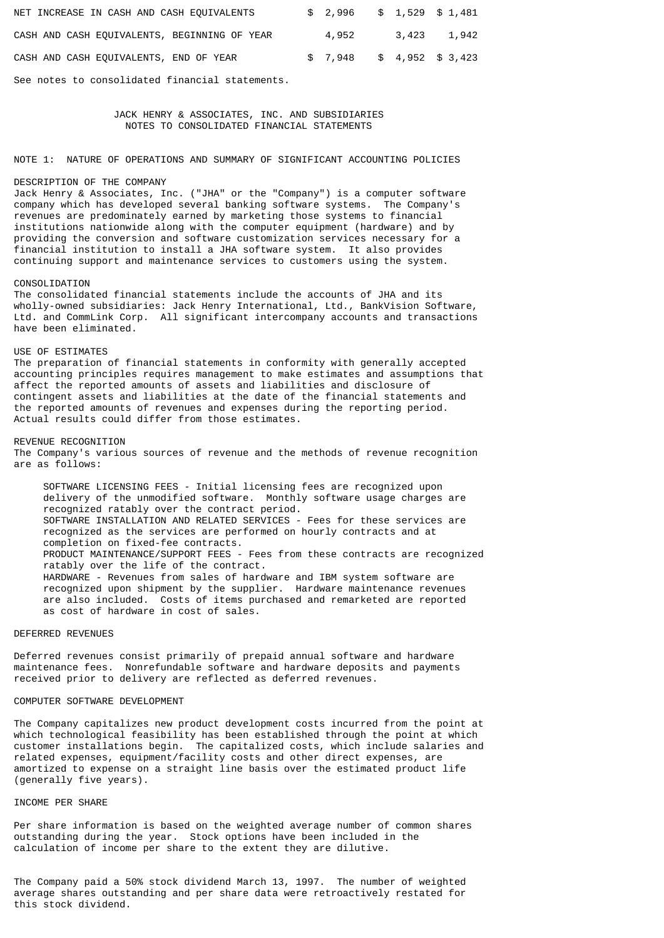| NET INCREASE IN CASH AND CASH EQUIVALENTS    | $$2,996$ $$1,529$ $$1,481$ |  |             |
|----------------------------------------------|----------------------------|--|-------------|
| CASH AND CASH EQUIVALENTS, BEGINNING OF YEAR | 4,952                      |  | 3,423 1,942 |
| CASH AND CASH EQUIVALENTS, END OF YEAR       | $$7,948$ $$4,952$ $$3,423$ |  |             |

See notes to consolidated financial statements.

# JACK HENRY & ASSOCIATES, INC. AND SUBSIDIARIES NOTES TO CONSOLIDATED FINANCIAL STATEMENTS

NOTE 1: NATURE OF OPERATIONS AND SUMMARY OF SIGNIFICANT ACCOUNTING POLICIES

## DESCRIPTION OF THE COMPANY

Jack Henry & Associates, Inc. ("JHA" or the "Company") is a computer software company which has developed several banking software systems. The Company's revenues are predominately earned by marketing those systems to financial institutions nationwide along with the computer equipment (hardware) and by providing the conversion and software customization services necessary for a financial institution to install a JHA software system. It also provides continuing support and maintenance services to customers using the system.

## CONSOLIDATION

The consolidated financial statements include the accounts of JHA and its wholly-owned subsidiaries: Jack Henry International, Ltd., BankVision Software, Ltd. and CommLink Corp. All significant intercompany accounts and transactions have been eliminated.

## USE OF ESTIMATES

The preparation of financial statements in conformity with generally accepted accounting principles requires management to make estimates and assumptions that affect the reported amounts of assets and liabilities and disclosure of contingent assets and liabilities at the date of the financial statements and the reported amounts of revenues and expenses during the reporting period. Actual results could differ from those estimates.

## REVENUE RECOGNITION

The Company's various sources of revenue and the methods of revenue recognition are as follows:

 SOFTWARE LICENSING FEES - Initial licensing fees are recognized upon delivery of the unmodified software. Monthly software usage charges are recognized ratably over the contract period. SOFTWARE INSTALLATION AND RELATED SERVICES - Fees for these services are recognized as the services are performed on hourly contracts and at completion on fixed-fee contracts. PRODUCT MAINTENANCE/SUPPORT FEES - Fees from these contracts are recognized ratably over the life of the contract. HARDWARE - Revenues from sales of hardware and IBM system software are recognized upon shipment by the supplier. Hardware maintenance revenues are also included. Costs of items purchased and remarketed are reported as cost of hardware in cost of sales.

# DEFERRED REVENUES

Deferred revenues consist primarily of prepaid annual software and hardware maintenance fees. Nonrefundable software and hardware deposits and payments received prior to delivery are reflected as deferred revenues.

# COMPUTER SOFTWARE DEVELOPMENT

The Company capitalizes new product development costs incurred from the point at which technological feasibility has been established through the point at which customer installations begin. The capitalized costs, which include salaries and related expenses, equipment/facility costs and other direct expenses, are amortized to expense on a straight line basis over the estimated product life (generally five years).

## INCOME PER SHARE

Per share information is based on the weighted average number of common shares outstanding during the year. Stock options have been included in the calculation of income per share to the extent they are dilutive.

The Company paid a 50% stock dividend March 13, 1997. The number of weighted average shares outstanding and per share data were retroactively restated for this stock dividend.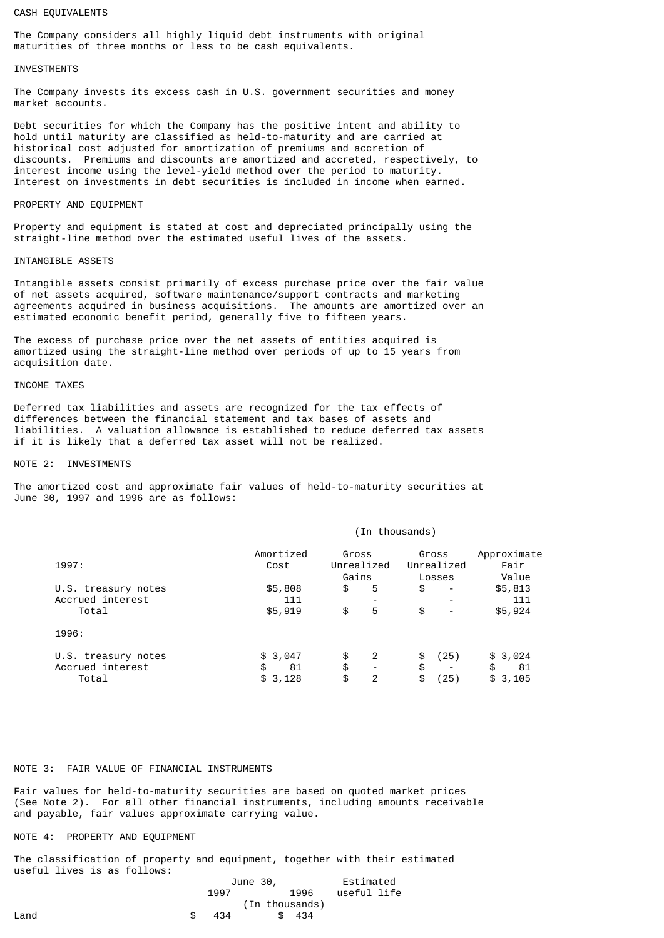## CASH EQUIVALENTS

The Company considers all highly liquid debt instruments with original maturities of three months or less to be cash equivalents.

## **INVESTMENTS**

The Company invests its excess cash in U.S. government securities and money market accounts.

Debt securities for which the Company has the positive intent and ability to hold until maturity are classified as held-to-maturity and are carried at historical cost adjusted for amortization of premiums and accretion of discounts. Premiums and discounts are amortized and accreted, respectively, to interest income using the level-yield method over the period to maturity. Interest on investments in debt securities is included in income when earned.

## PROPERTY AND EQUIPMENT

Property and equipment is stated at cost and depreciated principally using the straight-line method over the estimated useful lives of the assets.

## INTANGIBLE ASSETS

Intangible assets consist primarily of excess purchase price over the fair value of net assets acquired, software maintenance/support contracts and marketing agreements acquired in business acquisitions. The amounts are amortized over an estimated economic benefit period, generally five to fifteen years.

The excess of purchase price over the net assets of entities acquired is amortized using the straight-line method over periods of up to 15 years from acquisition date.

# INCOME TAXES

Deferred tax liabilities and assets are recognized for the tax effects of differences between the financial statement and tax bases of assets and liabilities. A valuation allowance is established to reduce deferred tax assets if it is likely that a deferred tax asset will not be realized.

#### NOTE 2: INVESTMENTS

The amortized cost and approximate fair values of held-to-maturity securities at June 30, 1997 and 1996 are as follows:

|  | (In thousands) |  |
|--|----------------|--|
|--|----------------|--|

| 1997:               | Amortized<br>Cost | Gross<br>Unrealized<br>Gains | Gross<br>Unrealized<br>Losses      | Approximate<br>Fair<br>Value |
|---------------------|-------------------|------------------------------|------------------------------------|------------------------------|
| U.S. treasury notes | \$5,808           | \$<br>5                      | \$<br>$\qquad \qquad \blacksquare$ | \$5,813                      |
| Accrued interest    | 111               |                              |                                    | 111                          |
| Total               | \$5,919           | \$<br>5                      | \$<br>-                            | \$5,924                      |
| 1996:               |                   |                              |                                    |                              |
| U.S. treasury notes | \$3,047           | \$<br>2                      | (25)<br>\$                         | \$3,024                      |
| Accrued interest    | \$<br>81          | \$                           | \$<br>$\overline{\phantom{0}}$     | \$<br>81                     |
| Total               | \$3,128           | \$<br>2                      | 〔25〕<br>\$                         | \$3,105                      |

# NOTE 3: FAIR VALUE OF FINANCIAL INSTRUMENTS

Fair values for held-to-maturity securities are based on quoted market prices (See Note 2). For all other financial instruments, including amounts receivable and payable, fair values approximate carrying value.

# NOTE 4: PROPERTY AND EQUIPMENT

The classification of property and equipment, together with their estimated useful lives is as follows:

|      | June 30, |                |       | Estimated   |  |  |
|------|----------|----------------|-------|-------------|--|--|
|      | 1997     |                | 1996  | useful life |  |  |
|      |          | (In thousands) |       |             |  |  |
| Land | 434      | SS.            | - 434 |             |  |  |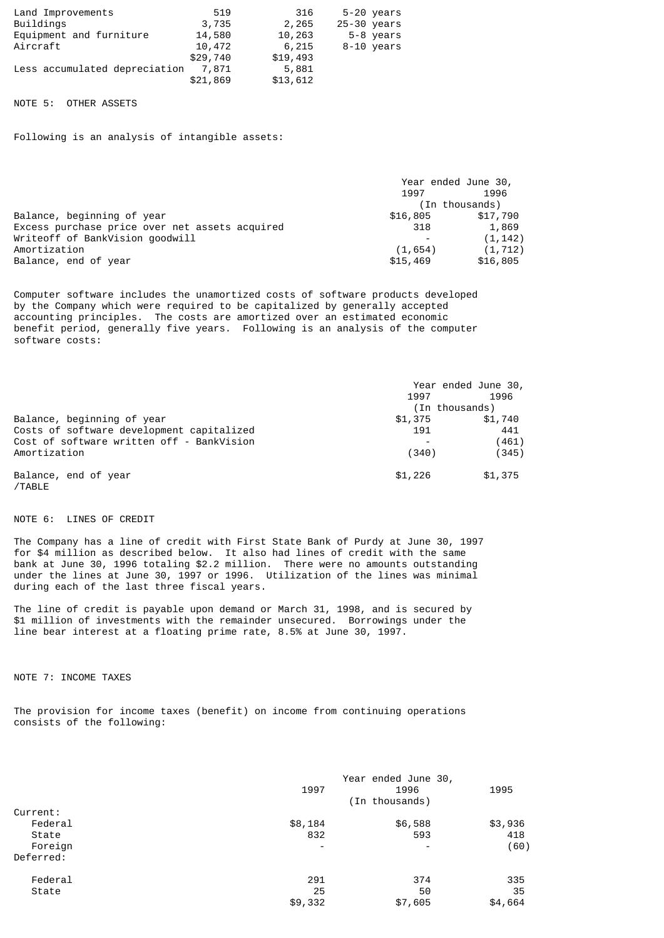| Land Improvements             | 519      | 316      | 5-20 vears  |
|-------------------------------|----------|----------|-------------|
| Buildings                     | 3,735    | 2,265    | 25-30 years |
| Equipment and furniture       | 14,580   | 10,263   | 5-8 years   |
| Aircraft                      | 10,472   | 6,215    | 8-10 years  |
|                               | \$29,740 | \$19,493 |             |
| Less accumulated depreciation | 7.871    | 5,881    |             |
|                               | \$21,869 | \$13,612 |             |

## NOTE 5: OTHER ASSETS

Following is an analysis of intangible assets:

| Year ended June 30, |                |  |
|---------------------|----------------|--|
| 1997                | 1996           |  |
|                     | (In thousands) |  |
| \$16,805            | \$17,790       |  |
| 318                 | 1,869          |  |
|                     | (1, 142)       |  |
| (1, 654)            | (1, 712)       |  |
| \$15,469            | \$16,805       |  |
|                     |                |  |

Computer software includes the unamortized costs of software products developed by the Company which were required to be capitalized by generally accepted accounting principles. The costs are amortized over an estimated economic benefit period, generally five years. Following is an analysis of the computer software costs:

|                                           | Year ended June 30, |         |  |
|-------------------------------------------|---------------------|---------|--|
|                                           | 1997                | 1996    |  |
|                                           | (In thousands)      |         |  |
| Balance, beginning of year                | \$1,375             | \$1,740 |  |
| Costs of software development capitalized | 191                 | 441     |  |
| Cost of software written off - BankVision |                     | (461)   |  |
| Amortization                              | (340)               | (345)   |  |
| Balance, end of year<br>/TABLE            | \$1,226             | \$1,375 |  |

NOTE 6: LINES OF CREDIT

The Company has a line of credit with First State Bank of Purdy at June 30, 1997 for \$4 million as described below. It also had lines of credit with the same bank at June 30, 1996 totaling \$2.2 million. There were no amounts outstanding under the lines at June 30, 1997 or 1996. Utilization of the lines was minimal during each of the last three fiscal years.

The line of credit is payable upon demand or March 31, 1998, and is secured by \$1 million of investments with the remainder unsecured. Borrowings under the line bear interest at a floating prime rate, 8.5% at June 30, 1997.

NOTE 7: INCOME TAXES

The provision for income taxes (benefit) on income from continuing operations consists of the following:

|           | 1997                     | Year ended June 30,<br>1996<br>(In thousands) | 1995    |
|-----------|--------------------------|-----------------------------------------------|---------|
| Current:  |                          |                                               |         |
| Federal   | \$8,184                  | \$6,588                                       | \$3,936 |
| State     | 832                      | 593                                           | 418     |
| Foreign   | $\overline{\phantom{a}}$ |                                               | (60)    |
| Deferred: |                          |                                               |         |
| Federal   | 291                      | 374                                           | 335     |
| State     | 25                       | 50                                            | 35      |
|           | \$9,332                  | \$7,605                                       | \$4,664 |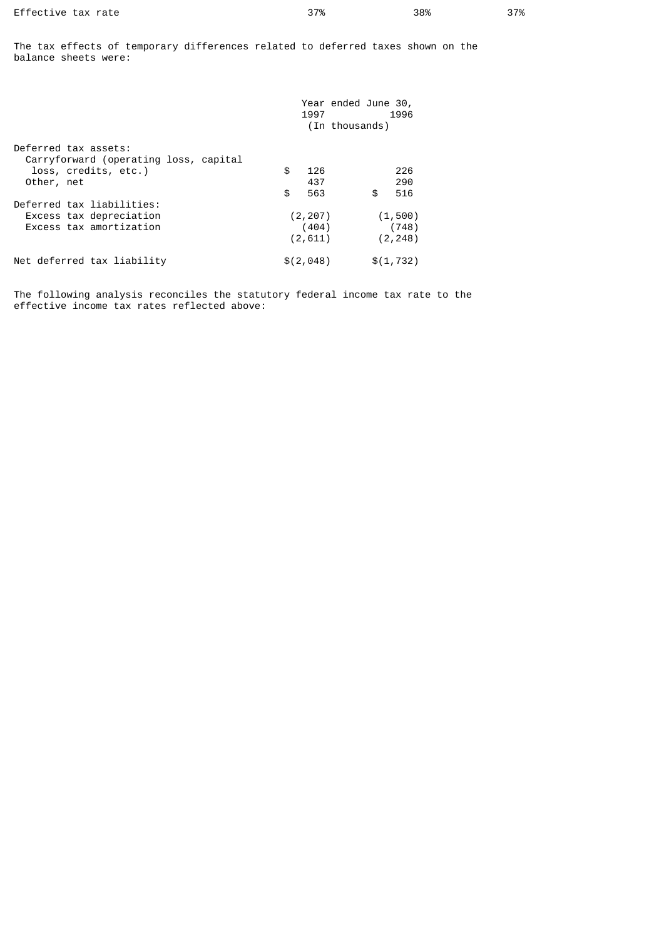The tax effects of temporary differences related to deferred taxes shown on the balance sheets were:

|                                       | 1997      | Year ended June 30, | 1996       |
|---------------------------------------|-----------|---------------------|------------|
|                                       |           | (In thousands)      |            |
| Deferred tax assets:                  |           |                     |            |
| Carryforward (operating loss, capital |           |                     |            |
| loss, credits, etc.)                  | \$<br>126 |                     | 226        |
| Other, net                            | 437       |                     | 290        |
|                                       | \$<br>563 | \$                  | 516        |
| Deferred tax liabilities:             |           |                     |            |
| Excess tax depreciation               | (2, 207)  |                     | (1, 500)   |
| Excess tax amortization               | (404)     |                     | (748)      |
|                                       | (2, 611)  |                     | (2, 248)   |
| Net deferred tax liability            | \$(2,048) |                     | \$(1, 732) |

The following analysis reconciles the statutory federal income tax rate to the effective income tax rates reflected above: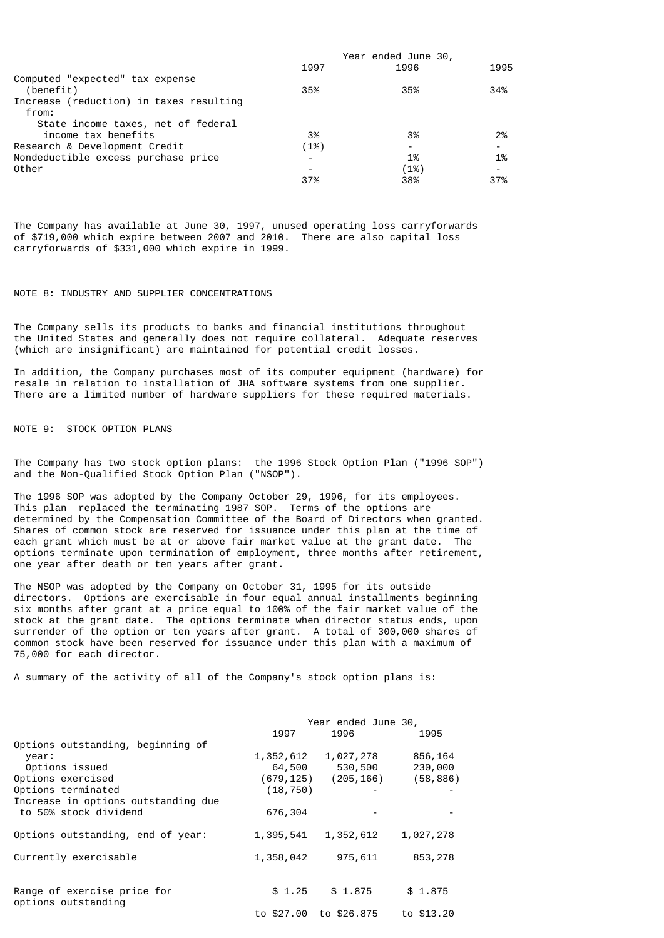| Year ended June 30,      |      |                          |
|--------------------------|------|--------------------------|
| 1997                     | 1996 | 1995                     |
|                          |      |                          |
| 35%                      | 35%  | 34%                      |
|                          |      |                          |
|                          |      |                          |
|                          |      |                          |
| 3%                       | 3%   | 2%                       |
| (1%)                     |      |                          |
| $\overline{\phantom{0}}$ | 1%   | 1%                       |
|                          | (1%) | $\overline{\phantom{a}}$ |
| 37%                      | 38%  | 37%                      |
|                          |      |                          |

The Company has available at June 30, 1997, unused operating loss carryforwards of \$719,000 which expire between 2007 and 2010. There are also capital loss carryforwards of \$331,000 which expire in 1999.

## NOTE 8: INDUSTRY AND SUPPLIER CONCENTRATIONS

The Company sells its products to banks and financial institutions throughout the United States and generally does not require collateral. Adequate reserves (which are insignificant) are maintained for potential credit losses.

In addition, the Company purchases most of its computer equipment (hardware) for resale in relation to installation of JHA software systems from one supplier. There are a limited number of hardware suppliers for these required materials.

NOTE 9: STOCK OPTION PLANS

The Company has two stock option plans: the 1996 Stock Option Plan ("1996 SOP") and the Non-Qualified Stock Option Plan ("NSOP").

The 1996 SOP was adopted by the Company October 29, 1996, for its employees. This plan replaced the terminating 1987 SOP. Terms of the options are determined by the Compensation Committee of the Board of Directors when granted. Shares of common stock are reserved for issuance under this plan at the time of each grant which must be at or above fair market value at the grant date. The options terminate upon termination of employment, three months after retirement, one year after death or ten years after grant.

The NSOP was adopted by the Company on October 31, 1995 for its outside directors. Options are exercisable in four equal annual installments beginning six months after grant at a price equal to 100% of the fair market value of the stock at the grant date. The options terminate when director status ends, upon surrender of the option or ten years after grant. A total of 300,000 shares of common stock have been reserved for issuance under this plan with a maximum of 75,000 for each director.

A summary of the activity of all of the Company's stock option plans is:

|                                     | Year ended June 30, |                           |            |
|-------------------------------------|---------------------|---------------------------|------------|
|                                     | 1997                | 1996                      | 1995       |
| Options outstanding, beginning of   |                     |                           |            |
| year:                               | 1,352,612           | 1,027,278                 | 856,164    |
| Options issued                      | 64,500              | 530,500                   | 230,000    |
| Options exercised                   |                     | $(679, 125)$ $(205, 166)$ | (58, 886)  |
| Options terminated                  | (18, 750)           |                           |            |
| Increase in options outstanding due |                     |                           |            |
| to 50% stock dividend               | 676,304             |                           |            |
|                                     |                     |                           |            |
| Options outstanding, end of year:   | 1,395,541           | 1,352,612                 | 1,027,278  |
|                                     |                     |                           |            |
| Currently exercisable               | 1,358,042           | 975,611                   | 853,278    |
|                                     |                     |                           |            |
|                                     |                     |                           |            |
| Range of exercise price for         | \$1.25              | \$1.875                   | \$1.875    |
| options outstanding                 |                     |                           |            |
|                                     |                     | to \$27,00 to \$26,875    | to \$13.20 |
|                                     |                     |                           |            |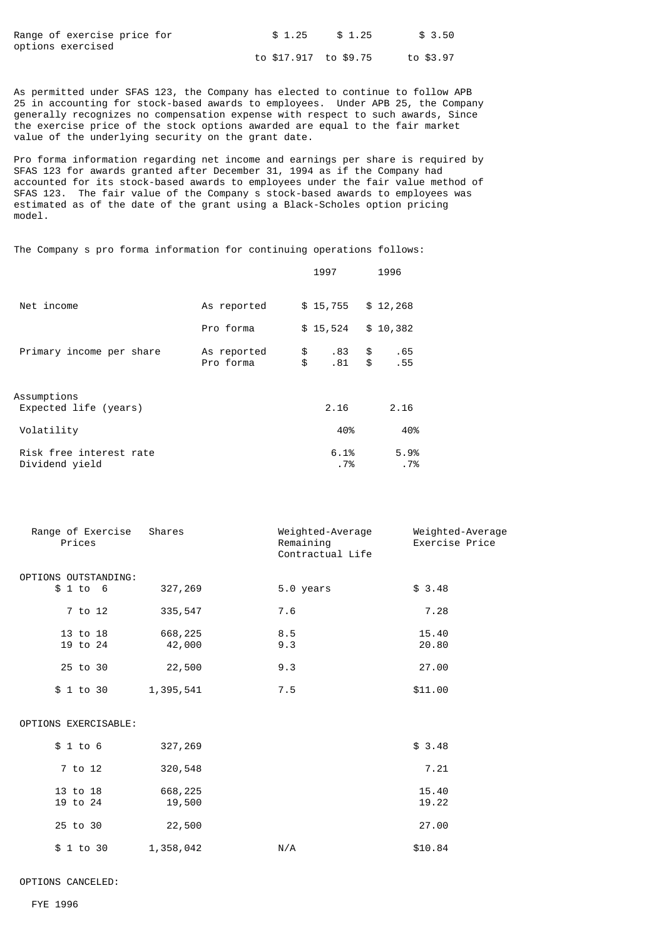| Range of exercise price for | \$1.25                | \$1.25 | \$ 3.50   |
|-----------------------------|-----------------------|--------|-----------|
| options exercised           |                       |        |           |
|                             | to \$17,917 to \$9,75 |        | to \$3.97 |

As permitted under SFAS 123, the Company has elected to continue to follow APB 25 in accounting for stock-based awards to employees. Under APB 25, the Company generally recognizes no compensation expense with respect to such awards, Since the exercise price of the stock options awarded are equal to the fair market value of the underlying security on the grant date.

Pro forma information regarding net income and earnings per share is required by SFAS 123 for awards granted after December 31, 1994 as if the Company had accounted for its stock-based awards to employees under the fair value method of SFAS 123. The fair value of the Company s stock-based awards to employees was estimated as of the date of the grant using a Black-Scholes option pricing model.

The Company s pro forma information for continuing operations follows:

|                                           |                          |          | 1997         |          | 1996         |
|-------------------------------------------|--------------------------|----------|--------------|----------|--------------|
| Net income                                | As reported              |          | \$15,755     |          | \$12,268     |
|                                           | Pro forma                |          | \$15,524     |          | \$10,382     |
| Primary income per share                  | As reported<br>Pro forma | \$<br>\$ | .83<br>.81   | \$<br>\$ | .65<br>.55   |
| Assumptions<br>Expected life (years)      |                          |          | 2.16         |          | 2.16         |
| Volatility                                |                          |          | 40%          |          | 40%          |
| Risk free interest rate<br>Dividend yield |                          |          | 6.1%<br>. 7% |          | 5.9%<br>. 7% |

| Range of Exercise<br>Prices | Shares    | Weighted-Average<br>Remaining<br>Contractual Life | Weighted-Average<br>Exercise Price |
|-----------------------------|-----------|---------------------------------------------------|------------------------------------|
| OPTIONS OUTSTANDING:        |           |                                                   |                                    |
| \$1 to 6                    | 327,269   | 5.0 years                                         | \$3.48                             |
| 7 to 12                     | 335,547   | 7.6                                               | 7.28                               |
| 13 to 18                    | 668,225   | 8.5                                               | 15.40                              |
| 19 to 24                    | 42,000    | 9.3                                               | 20.80                              |
| 25 to 30                    | 22,500    | 9.3                                               | 27.00                              |
| \$ 1 to 30                  | 1,395,541 | 7.5                                               | \$11.00                            |
| OPTIONS EXERCISABLE:        |           |                                                   |                                    |
| \$1 to 6                    | 327,269   |                                                   | \$3.48                             |
| 7 to 12                     | 320,548   |                                                   | 7.21                               |
| 13 to 18                    | 668,225   |                                                   | 15.40                              |
| 19 to 24                    | 19,500    |                                                   | 19.22                              |
| 25 to 30                    | 22,500    |                                                   | 27.00                              |
| \$ 1 to 30                  | 1,358,042 | N/A                                               | \$10.84                            |

OPTIONS CANCELED: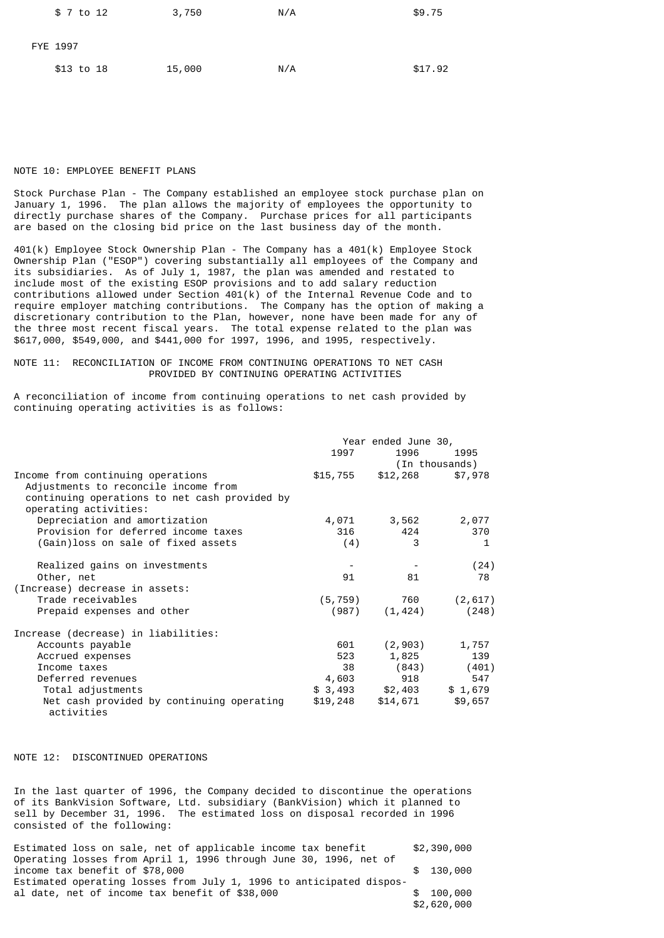| \$ 7 to 12 | 3,750  | N/A | \$9.75  |
|------------|--------|-----|---------|
| FYE 1997   |        |     |         |
| \$13 to 18 | 15,000 | N/A | \$17.92 |

# NOTE 10: EMPLOYEE BENEFIT PLANS

Stock Purchase Plan - The Company established an employee stock purchase plan on January 1, 1996. The plan allows the majority of employees the opportunity to directly purchase shares of the Company. Purchase prices for all participants are based on the closing bid price on the last business day of the month.

401(k) Employee Stock Ownership Plan - The Company has a 401(k) Employee Stock Ownership Plan ("ESOP") covering substantially all employees of the Company and its subsidiaries. As of July 1, 1987, the plan was amended and restated to include most of the existing ESOP provisions and to add salary reduction contributions allowed under Section 401(k) of the Internal Revenue Code and to require employer matching contributions. The Company has the option of making a discretionary contribution to the Plan, however, none have been made for any of the three most recent fiscal years. The total expense related to the plan was \$617,000, \$549,000, and \$441,000 for 1997, 1996, and 1995, respectively.

# NOTE 11: RECONCILIATION OF INCOME FROM CONTINUING OPERATIONS TO NET CASH PROVIDED BY CONTINUING OPERATING ACTIVITIES

A reconciliation of income from continuing operations to net cash provided by continuing operating activities is as follows:

|                                                         |          | Year ended June 30, |                |
|---------------------------------------------------------|----------|---------------------|----------------|
|                                                         | 1997     | 1996                | 1995           |
|                                                         |          |                     | (In thousands) |
| Income from continuing operations                       | \$15,755 | \$12,268            | \$7,978        |
| Adjustments to reconcile income from                    |          |                     |                |
| continuing operations to net cash provided by           |          |                     |                |
| operating activities:                                   |          |                     |                |
| Depreciation and amortization                           | 4,071    | 3,562               | 2,077          |
| Provision for deferred income taxes                     | 316      | 424                 | 370            |
| (Gain) loss on sale of fixed assets                     | (4)      | 3                   | 1              |
| Realized gains on investments                           |          |                     | (24)           |
| Other, net                                              | 91       | 81                  | 78             |
| (Increase) decrease in assets:                          |          |                     |                |
| Trade receivables                                       | (5,759)  | 760                 | (2, 617)       |
| Prepaid expenses and other                              |          | $(987)$ $(1, 424)$  | (248)          |
| Increase (decrease) in liabilities:                     |          |                     |                |
| Accounts payable                                        | 601      | (2,903)             | 1,757          |
| Accrued expenses                                        | 523      | 1,825               | 139            |
| Income taxes                                            | 38       | (843)               | (401)          |
| Deferred revenues                                       | 4,603    | 918                 | 547            |
| Total adjustments                                       | \$3,493  | \$2,403             | \$1,679        |
| Net cash provided by continuing operating<br>activities | \$19,248 | \$14,671            | \$9,657        |

# NOTE 12: DISCONTINUED OPERATIONS

In the last quarter of 1996, the Company decided to discontinue the operations of its BankVision Software, Ltd. subsidiary (BankVision) which it planned to sell by December 31, 1996. The estimated loss on disposal recorded in 1996 consisted of the following:

| Estimated loss on sale, net of applicable income tax benefit        | \$2,390,000 |
|---------------------------------------------------------------------|-------------|
| Operating losses from April 1, 1996 through June 30, 1996, net of   |             |
| income tax benefit of \$78,000                                      | \$130,000   |
| Estimated operating losses from July 1, 1996 to anticipated dispos- |             |
| al date, net of income tax benefit of \$38,000                      | \$100.000   |
|                                                                     | \$2,620,000 |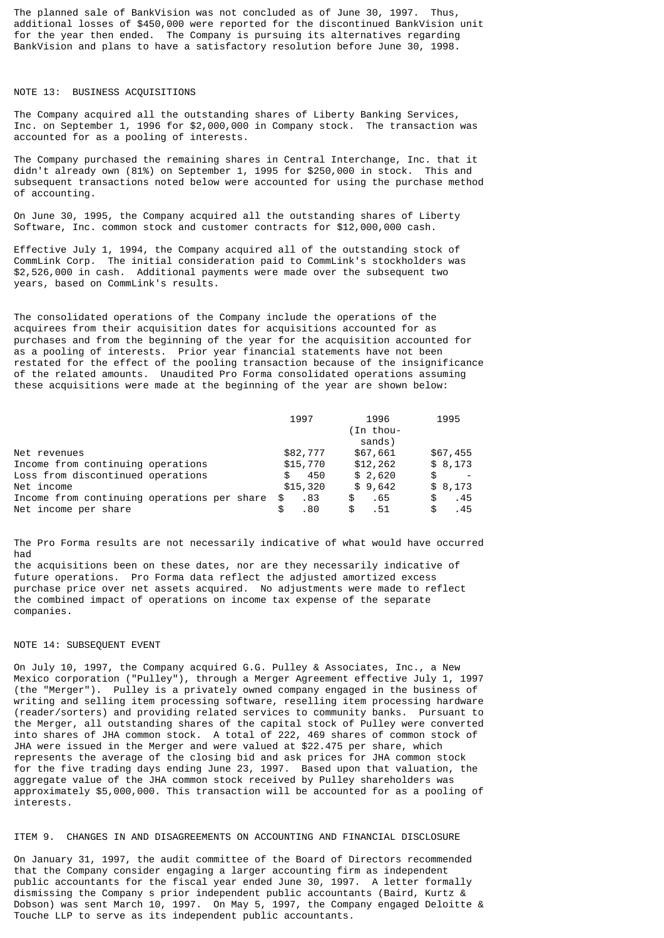The planned sale of BankVision was not concluded as of June 30, 1997. Thus, additional losses of \$450,000 were reported for the discontinued BankVision unit for the year then ended. The Company is pursuing its alternatives regarding BankVision and plans to have a satisfactory resolution before June 30, 1998.

# NOTE 13: BUSINESS ACQUISITIONS

The Company acquired all the outstanding shares of Liberty Banking Services, Inc. on September 1, 1996 for \$2,000,000 in Company stock. The transaction was accounted for as a pooling of interests.

The Company purchased the remaining shares in Central Interchange, Inc. that it didn't already own (81%) on September 1, 1995 for \$250,000 in stock. This and subsequent transactions noted below were accounted for using the purchase method of accounting.

On June 30, 1995, the Company acquired all the outstanding shares of Liberty Software, Inc. common stock and customer contracts for \$12,000,000 cash.

Effective July 1, 1994, the Company acquired all of the outstanding stock of CommLink Corp. The initial consideration paid to CommLink's stockholders was \$2,526,000 in cash. Additional payments were made over the subsequent two years, based on CommLink's results.

The consolidated operations of the Company include the operations of the acquirees from their acquisition dates for acquisitions accounted for as purchases and from the beginning of the year for the acquisition accounted for as a pooling of interests. Prior year financial statements have not been restated for the effect of the pooling transaction because of the insignificance of the related amounts. Unaudited Pro Forma consolidated operations assuming these acquisitions were made at the beginning of the year are shown below:

|                                             | 1997       | 1996<br>(In thou-<br>sands) | 1995      |
|---------------------------------------------|------------|-----------------------------|-----------|
| Net revenues                                | \$82,777   | \$67,661                    | \$67,455  |
| Income from continuing operations           | \$15,770   | \$12,262                    | \$8,173   |
| Loss from discontinued operations           | 450<br>\$  | \$2,620                     | \$        |
| Net income                                  | \$15,320   | \$9,642                     | \$8,173   |
| Income from continuing operations per share | .83<br>\$  | .65<br>\$                   | .45<br>\$ |
| Net income per share                        | .80<br>\$. | \$<br>.51                   | .45<br>\$ |

The Pro Forma results are not necessarily indicative of what would have occurred had the acquisitions been on these dates, nor are they necessarily indicative of future operations. Pro Forma data reflect the adjusted amortized excess purchase price over net assets acquired. No adjustments were made to reflect the combined impact of operations on income tax expense of the separate

## NOTE 14: SUBSEQUENT EVENT

companies.

On July 10, 1997, the Company acquired G.G. Pulley & Associates, Inc., a New Mexico corporation ("Pulley"), through a Merger Agreement effective July 1, 1997 (the "Merger"). Pulley is a privately owned company engaged in the business of writing and selling item processing software, reselling item processing hardware (reader/sorters) and providing related services to community banks. Pursuant to the Merger, all outstanding shares of the capital stock of Pulley were converted into shares of JHA common stock. A total of 222, 469 shares of common stock of JHA were issued in the Merger and were valued at \$22.475 per share, which represents the average of the closing bid and ask prices for JHA common stock for the five trading days ending June 23, 1997. Based upon that valuation, the aggregate value of the JHA common stock received by Pulley shareholders was approximately \$5,000,000. This transaction will be accounted for as a pooling of interests.

## ITEM 9. CHANGES IN AND DISAGREEMENTS ON ACCOUNTING AND FINANCIAL DISCLOSURE

On January 31, 1997, the audit committee of the Board of Directors recommended that the Company consider engaging a larger accounting firm as independent public accountants for the fiscal year ended June 30, 1997. A letter formally dismissing the Company s prior independent public accountants (Baird, Kurtz & Dobson) was sent March 10, 1997. On May 5, 1997, the Company engaged Deloitte & Touche LLP to serve as its independent public accountants.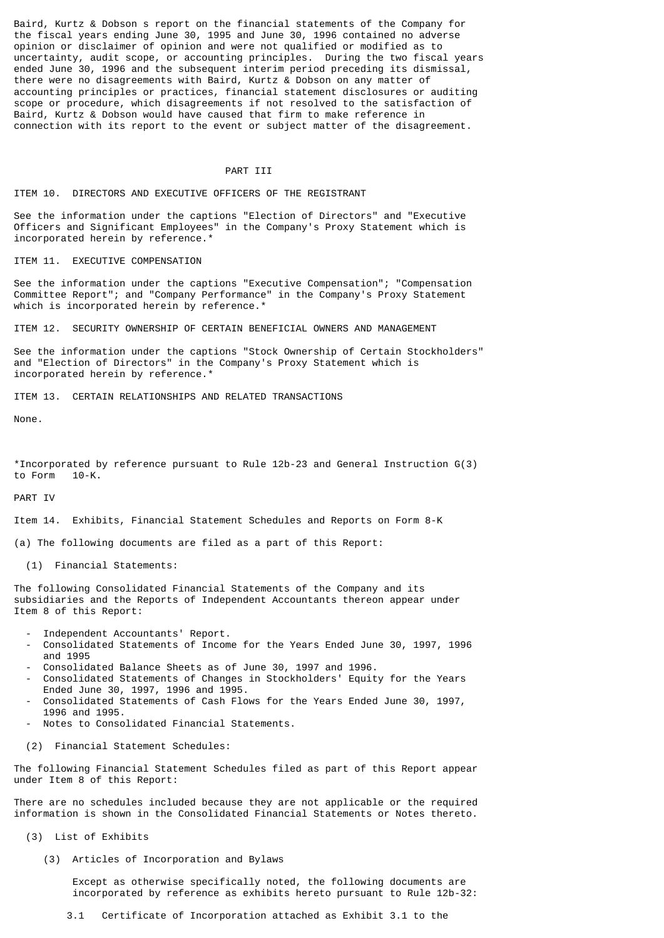Baird, Kurtz & Dobson s report on the financial statements of the Company for the fiscal years ending June 30, 1995 and June 30, 1996 contained no adverse opinion or disclaimer of opinion and were not qualified or modified as to uncertainty, audit scope, or accounting principles. During the two fiscal years ended June 30, 1996 and the subsequent interim period preceding its dismissal, there were no disagreements with Baird, Kurtz & Dobson on any matter of accounting principles or practices, financial statement disclosures or auditing scope or procedure, which disagreements if not resolved to the satisfaction of Baird, Kurtz & Dobson would have caused that firm to make reference in connection with its report to the event or subject matter of the disagreement.

## PART TTT

#### ITEM 10. DIRECTORS AND EXECUTIVE OFFICERS OF THE REGISTRANT

See the information under the captions "Election of Directors" and "Executive Officers and Significant Employees" in the Company's Proxy Statement which is incorporated herein by reference.\*

ITEM 11. EXECUTIVE COMPENSATION

See the information under the captions "Executive Compensation"; "Compensation Committee Report"; and "Company Performance" in the Company's Proxy Statement which is incorporated herein by reference.\*

ITEM 12. SECURITY OWNERSHIP OF CERTAIN BENEFICIAL OWNERS AND MANAGEMENT

See the information under the captions "Stock Ownership of Certain Stockholders" and "Election of Directors" in the Company's Proxy Statement which is incorporated herein by reference.\*

ITEM 13. CERTAIN RELATIONSHIPS AND RELATED TRANSACTIONS

None.

\*Incorporated by reference pursuant to Rule 12b-23 and General Instruction G(3) to Form 10-K.

PART IV

Item 14. Exhibits, Financial Statement Schedules and Reports on Form 8-K

(a) The following documents are filed as a part of this Report:

(1) Financial Statements:

The following Consolidated Financial Statements of the Company and its subsidiaries and the Reports of Independent Accountants thereon appear under Item 8 of this Report:

- Independent Accountants' Report.
- Consolidated Statements of Income for the Years Ended June 30, 1997, 1996 and 1995
- Consolidated Balance Sheets as of June 30, 1997 and 1996.
- Consolidated Statements of Changes in Stockholders' Equity for the Years Ended June 30, 1997, 1996 and 1995.
- Consolidated Statements of Cash Flows for the Years Ended June 30, 1997, 1996 and 1995.
- Notes to Consolidated Financial Statements.
- (2) Financial Statement Schedules:

The following Financial Statement Schedules filed as part of this Report appear under Item 8 of this Report:

There are no schedules included because they are not applicable or the required information is shown in the Consolidated Financial Statements or Notes thereto.

- (3) List of Exhibits
	- (3) Articles of Incorporation and Bylaws

 Except as otherwise specifically noted, the following documents are incorporated by reference as exhibits hereto pursuant to Rule 12b-32:

3.1 Certificate of Incorporation attached as Exhibit 3.1 to the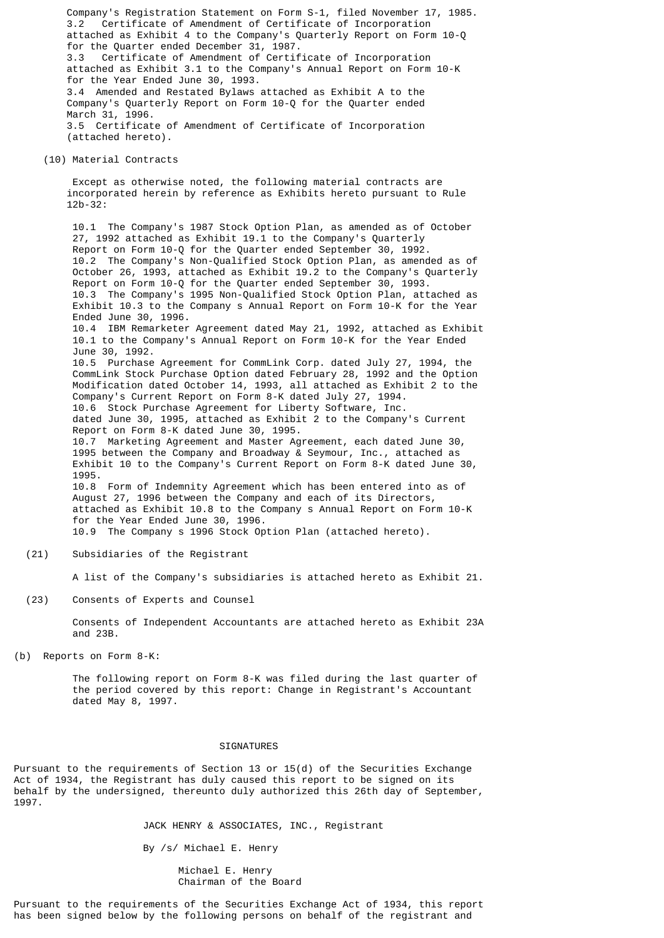Company's Registration Statement on Form S-1, filed November 17, 1985. 3.2 Certificate of Amendment of Certificate of Incorporation attached as Exhibit 4 to the Company's Quarterly Report on Form 10-Q for the Quarter ended December 31, 1987. 3.3 Certificate of Amendment of Certificate of Incorporation attached as Exhibit 3.1 to the Company's Annual Report on Form 10-K for the Year Ended June 30, 1993. 3.4 Amended and Restated Bylaws attached as Exhibit A to the Company's Quarterly Report on Form 10-Q for the Quarter ended March 31, 1996. 3.5 Certificate of Amendment of Certificate of Incorporation (attached hereto). (10) Material Contracts Except as otherwise noted, the following material contracts are incorporated herein by reference as Exhibits hereto pursuant to Rule 12b-32:

> 10.1 The Company's 1987 Stock Option Plan, as amended as of October 27, 1992 attached as Exhibit 19.1 to the Company's Quarterly Report on Form 10-Q for the Quarter ended September 30, 1992. 10.2 The Company's Non-Qualified Stock Option Plan, as amended as of October 26, 1993, attached as Exhibit 19.2 to the Company's Quarterly Report on Form 10-Q for the Quarter ended September 30, 1993. 10.3 The Company's 1995 Non-Qualified Stock Option Plan, attached as Exhibit 10.3 to the Company s Annual Report on Form 10-K for the Year Ended June 30, 1996. 10.4 IBM Remarketer Agreement dated May 21, 1992, attached as Exhibit 10.1 to the Company's Annual Report on Form 10-K for the Year Ended June 30, 1992. 10.5 Purchase Agreement for CommLink Corp. dated July 27, 1994, the CommLink Stock Purchase Option dated February 28, 1992 and the Option Modification dated October 14, 1993, all attached as Exhibit 2 to the Company's Current Report on Form 8-K dated July 27, 1994. 10.6 Stock Purchase Agreement for Liberty Software, Inc. dated June 30, 1995, attached as Exhibit 2 to the Company's Current Report on Form 8-K dated June 30, 1995. 10.7 Marketing Agreement and Master Agreement, each dated June 30, 1995 between the Company and Broadway & Seymour, Inc., attached as Exhibit 10 to the Company's Current Report on Form 8-K dated June 30, 1995. 10.8 Form of Indemnity Agreement which has been entered into as of August 27, 1996 between the Company and each of its Directors, attached as Exhibit 10.8 to the Company s Annual Report on Form 10-K for the Year Ended June 30, 1996. 10.9 The Company s 1996 Stock Option Plan (attached hereto).

(21) Subsidiaries of the Registrant

A list of the Company's subsidiaries is attached hereto as Exhibit 21.

(23) Consents of Experts and Counsel

 Consents of Independent Accountants are attached hereto as Exhibit 23A and 23B.

(b) Reports on Form 8-K:

 The following report on Form 8-K was filed during the last quarter of the period covered by this report: Change in Registrant's Accountant dated May 8, 1997.

#### **SIGNATURES**

Pursuant to the requirements of Section 13 or 15(d) of the Securities Exchange Act of 1934, the Registrant has duly caused this report to be signed on its behalf by the undersigned, thereunto duly authorized this 26th day of September, 1997.

JACK HENRY & ASSOCIATES, INC., Registrant

By /s/ Michael E. Henry

 Michael E. Henry Chairman of the Board

Pursuant to the requirements of the Securities Exchange Act of 1934, this report has been signed below by the following persons on behalf of the registrant and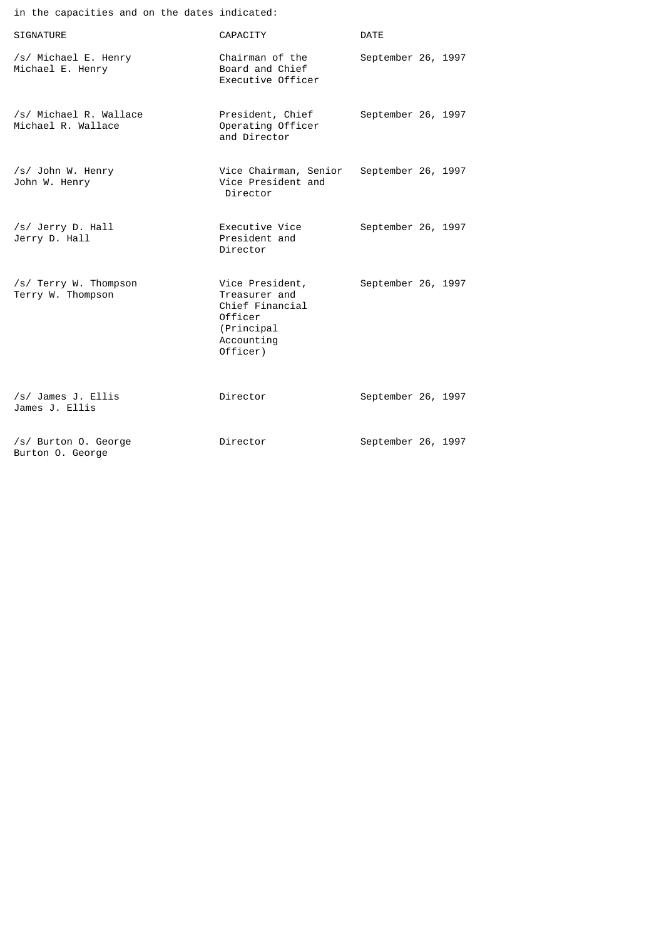| in the capacities and on the dates indicated: |                                                                                                        |                    |
|-----------------------------------------------|--------------------------------------------------------------------------------------------------------|--------------------|
| <b>SIGNATURE</b>                              | CAPACITY                                                                                               | <b>DATE</b>        |
| /s/ Michael E. Henry<br>Michael E. Henry      | Chairman of the<br>Board and Chief<br>Executive Officer                                                | September 26, 1997 |
| /s/ Michael R. Wallace<br>Michael R. Wallace  | President, Chief<br>Operating Officer<br>and Director                                                  | September 26, 1997 |
| /s/ John W. Henry<br>John W. Henry            | Vice Chairman, Senior<br>Vice President and<br>Director                                                | September 26, 1997 |
| /s/ Jerry D. Hall<br>Jerry D. Hall            | Executive Vice<br>President and<br>Director                                                            | September 26, 1997 |
| /s/ Terry W. Thompson<br>Terry W. Thompson    | Vice President,<br>Treasurer and<br>Chief Financial<br>Officer<br>(Principal<br>Accounting<br>Officer) | September 26, 1997 |
| /s/ James J. Ellis<br>James J. Ellis          | Director                                                                                               | September 26, 1997 |
| /s/ Burton O. George<br>Burton O. George      | Director                                                                                               | September 26, 1997 |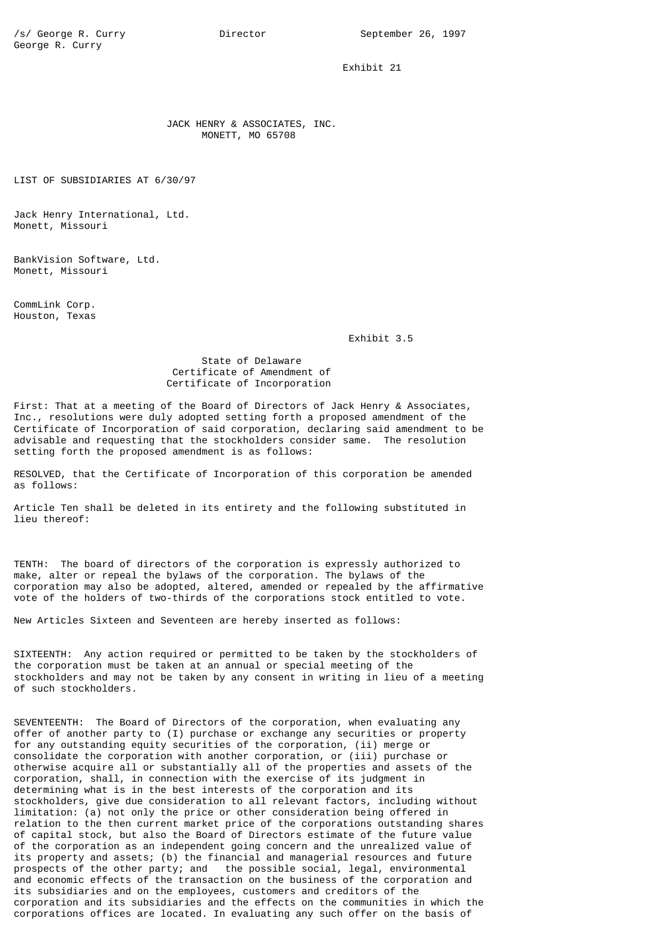Exhibit 21

 JACK HENRY & ASSOCIATES, INC. MONETT, MO 65708

LIST OF SUBSIDIARIES AT 6/30/97

Jack Henry International, Ltd. Monett, Missouri

BankVision Software, Ltd. Monett, Missouri

CommLink Corp. Houston, Texas

Exhibit 3.5

 State of Delaware Certificate of Amendment of Certificate of Incorporation

First: That at a meeting of the Board of Directors of Jack Henry & Associates, Inc., resolutions were duly adopted setting forth a proposed amendment of the Certificate of Incorporation of said corporation, declaring said amendment to be advisable and requesting that the stockholders consider same. The resolution setting forth the proposed amendment is as follows:

RESOLVED, that the Certificate of Incorporation of this corporation be amended as follows:

Article Ten shall be deleted in its entirety and the following substituted in lieu thereof:

TENTH: The board of directors of the corporation is expressly authorized to make, alter or repeal the bylaws of the corporation. The bylaws of the corporation may also be adopted, altered, amended or repealed by the affirmative vote of the holders of two-thirds of the corporations stock entitled to vote.

New Articles Sixteen and Seventeen are hereby inserted as follows:

SIXTEENTH: Any action required or permitted to be taken by the stockholders of the corporation must be taken at an annual or special meeting of the stockholders and may not be taken by any consent in writing in lieu of a meeting of such stockholders.

SEVENTEENTH: The Board of Directors of the corporation, when evaluating any offer of another party to (I) purchase or exchange any securities or property for any outstanding equity securities of the corporation, (ii) merge or consolidate the corporation with another corporation, or (iii) purchase or otherwise acquire all or substantially all of the properties and assets of the corporation, shall, in connection with the exercise of its judgment in determining what is in the best interests of the corporation and its stockholders, give due consideration to all relevant factors, including without limitation: (a) not only the price or other consideration being offered in relation to the then current market price of the corporations outstanding shares of capital stock, but also the Board of Directors estimate of the future value of the corporation as an independent going concern and the unrealized value of its property and assets; (b) the financial and managerial resources and future prospects of the other party; and the possible social, legal, environmental and economic effects of the transaction on the business of the corporation and its subsidiaries and on the employees, customers and creditors of the corporation and its subsidiaries and the effects on the communities in which the corporations offices are located. In evaluating any such offer on the basis of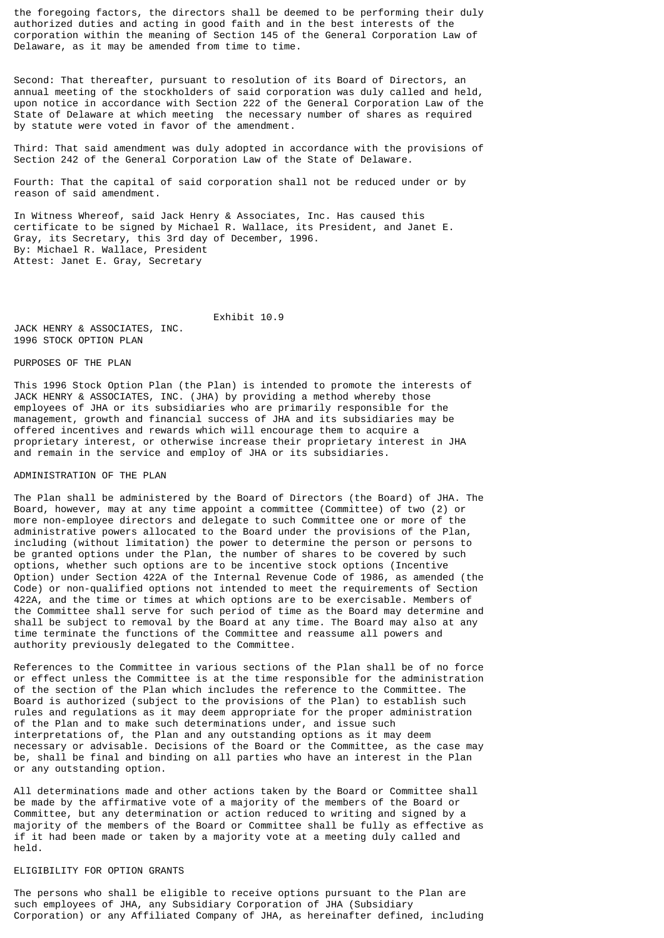the foregoing factors, the directors shall be deemed to be performing their duly authorized duties and acting in good faith and in the best interests of the corporation within the meaning of Section 145 of the General Corporation Law of Delaware, as it may be amended from time to time.

Second: That thereafter, pursuant to resolution of its Board of Directors, an annual meeting of the stockholders of said corporation was duly called and held, upon notice in accordance with Section 222 of the General Corporation Law of the State of Delaware at which meeting the necessary number of shares as required by statute were voted in favor of the amendment.

Third: That said amendment was duly adopted in accordance with the provisions of Section 242 of the General Corporation Law of the State of Delaware.

Fourth: That the capital of said corporation shall not be reduced under or by reason of said amendment.

In Witness Whereof, said Jack Henry & Associates, Inc. Has caused this certificate to be signed by Michael R. Wallace, its President, and Janet E. Gray, its Secretary, this 3rd day of December, 1996. By: Michael R. Wallace, President Attest: Janet E. Gray, Secretary

 Exhibit 10.9 JACK HENRY & ASSOCIATES, INC. 1996 STOCK OPTION PLAN

## PURPOSES OF THE PLAN

This 1996 Stock Option Plan (the Plan) is intended to promote the interests of JACK HENRY & ASSOCIATES, INC. (JHA) by providing a method whereby those employees of JHA or its subsidiaries who are primarily responsible for the management, growth and financial success of JHA and its subsidiaries may be offered incentives and rewards which will encourage them to acquire a proprietary interest, or otherwise increase their proprietary interest in JHA and remain in the service and employ of JHA or its subsidiaries.

# ADMINISTRATION OF THE PLAN

The Plan shall be administered by the Board of Directors (the Board) of JHA. The Board, however, may at any time appoint a committee (Committee) of two (2) or more non-employee directors and delegate to such Committee one or more of the administrative powers allocated to the Board under the provisions of the Plan, including (without limitation) the power to determine the person or persons to be granted options under the Plan, the number of shares to be covered by such options, whether such options are to be incentive stock options (Incentive Option) under Section 422A of the Internal Revenue Code of 1986, as amended (the Code) or non-qualified options not intended to meet the requirements of Section 422A, and the time or times at which options are to be exercisable. Members of the Committee shall serve for such period of time as the Board may determine and shall be subject to removal by the Board at any time. The Board may also at any time terminate the functions of the Committee and reassume all powers and authority previously delegated to the Committee.

References to the Committee in various sections of the Plan shall be of no force or effect unless the Committee is at the time responsible for the administration of the section of the Plan which includes the reference to the Committee. The Board is authorized (subject to the provisions of the Plan) to establish such rules and regulations as it may deem appropriate for the proper administration of the Plan and to make such determinations under, and issue such interpretations of, the Plan and any outstanding options as it may deem necessary or advisable. Decisions of the Board or the Committee, as the case may be, shall be final and binding on all parties who have an interest in the Plan or any outstanding option.

All determinations made and other actions taken by the Board or Committee shall be made by the affirmative vote of a majority of the members of the Board or Committee, but any determination or action reduced to writing and signed by a majority of the members of the Board or Committee shall be fully as effective as if it had been made or taken by a majority vote at a meeting duly called and held.

# ELIGIBILITY FOR OPTION GRANTS

The persons who shall be eligible to receive options pursuant to the Plan are such employees of JHA, any Subsidiary Corporation of JHA (Subsidiary Corporation) or any Affiliated Company of JHA, as hereinafter defined, including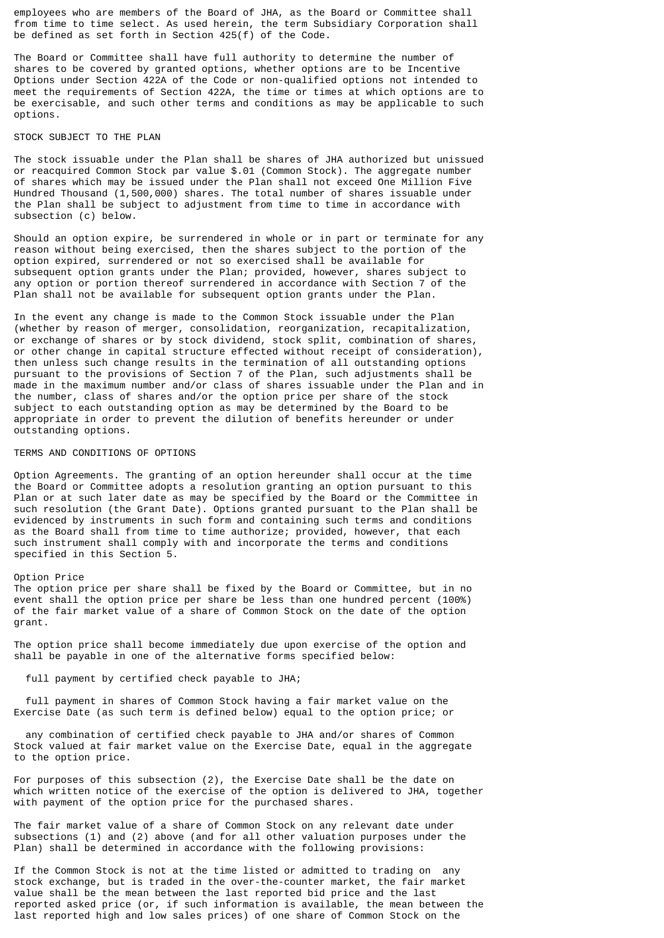employees who are members of the Board of JHA, as the Board or Committee shall from time to time select. As used herein, the term Subsidiary Corporation shall be defined as set forth in Section 425(f) of the Code.

The Board or Committee shall have full authority to determine the number of shares to be covered by granted options, whether options are to be Incentive Options under Section 422A of the Code or non-qualified options not intended to meet the requirements of Section 422A, the time or times at which options are to be exercisable, and such other terms and conditions as may be applicable to such options.

## STOCK SUBJECT TO THE PLAN

The stock issuable under the Plan shall be shares of JHA authorized but unissued or reacquired Common Stock par value \$.01 (Common Stock). The aggregate number of shares which may be issued under the Plan shall not exceed One Million Five Hundred Thousand (1,500,000) shares. The total number of shares issuable under the Plan shall be subject to adjustment from time to time in accordance with subsection (c) below.

Should an option expire, be surrendered in whole or in part or terminate for any reason without being exercised, then the shares subject to the portion of the option expired, surrendered or not so exercised shall be available for subsequent option grants under the Plan; provided, however, shares subject to any option or portion thereof surrendered in accordance with Section 7 of the Plan shall not be available for subsequent option grants under the Plan.

In the event any change is made to the Common Stock issuable under the Plan (whether by reason of merger, consolidation, reorganization, recapitalization, or exchange of shares or by stock dividend, stock split, combination of shares, or other change in capital structure effected without receipt of consideration), then unless such change results in the termination of all outstanding options pursuant to the provisions of Section 7 of the Plan, such adjustments shall be made in the maximum number and/or class of shares issuable under the Plan and in the number, class of shares and/or the option price per share of the stock subject to each outstanding option as may be determined by the Board to be appropriate in order to prevent the dilution of benefits hereunder or under outstanding options.

### TERMS AND CONDITIONS OF OPTIONS

Option Agreements. The granting of an option hereunder shall occur at the time the Board or Committee adopts a resolution granting an option pursuant to this Plan or at such later date as may be specified by the Board or the Committee in such resolution (the Grant Date). Options granted pursuant to the Plan shall be evidenced by instruments in such form and containing such terms and conditions as the Board shall from time to time authorize; provided, however, that each such instrument shall comply with and incorporate the terms and conditions specified in this Section 5.

## Option Price

The option price per share shall be fixed by the Board or Committee, but in no event shall the option price per share be less than one hundred percent (100%) of the fair market value of a share of Common Stock on the date of the option grant.

The option price shall become immediately due upon exercise of the option and shall be payable in one of the alternative forms specified below:

## full payment by certified check payable to JHA;

 full payment in shares of Common Stock having a fair market value on the Exercise Date (as such term is defined below) equal to the option price; or

 any combination of certified check payable to JHA and/or shares of Common Stock valued at fair market value on the Exercise Date, equal in the aggregate to the option price.

For purposes of this subsection (2), the Exercise Date shall be the date on which written notice of the exercise of the option is delivered to JHA, together with payment of the option price for the purchased shares.

The fair market value of a share of Common Stock on any relevant date under subsections (1) and (2) above (and for all other valuation purposes under the Plan) shall be determined in accordance with the following provisions:

If the Common Stock is not at the time listed or admitted to trading on any stock exchange, but is traded in the over-the-counter market, the fair market value shall be the mean between the last reported bid price and the last reported asked price (or, if such information is available, the mean between the last reported high and low sales prices) of one share of Common Stock on the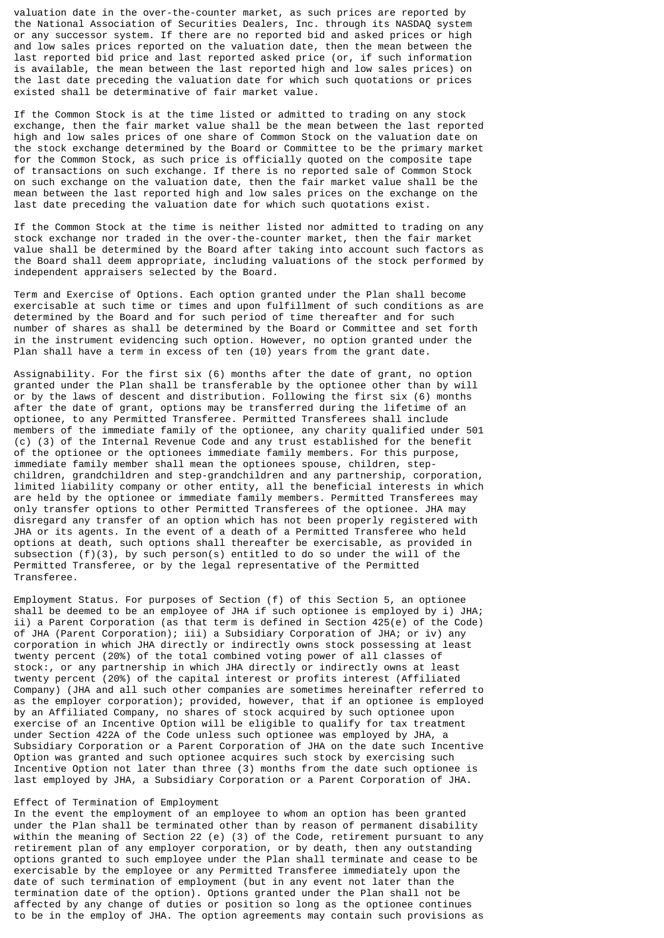valuation date in the over-the-counter market, as such prices are reported by the National Association of Securities Dealers, Inc. through its NASDAQ system or any successor system. If there are no reported bid and asked prices or high and low sales prices reported on the valuation date, then the mean between the last reported bid price and last reported asked price (or, if such information is available, the mean between the last reported high and low sales prices) on the last date preceding the valuation date for which such quotations or prices existed shall be determinative of fair market value.

If the Common Stock is at the time listed or admitted to trading on any stock exchange, then the fair market value shall be the mean between the last reported high and low sales prices of one share of Common Stock on the valuation date on the stock exchange determined by the Board or Committee to be the primary market for the Common Stock, as such price is officially quoted on the composite tape of transactions on such exchange. If there is no reported sale of Common Stock on such exchange on the valuation date, then the fair market value shall be the mean between the last reported high and low sales prices on the exchange on the last date preceding the valuation date for which such quotations exist.

If the Common Stock at the time is neither listed nor admitted to trading on any stock exchange nor traded in the over-the-counter market, then the fair market value shall be determined by the Board after taking into account such factors as the Board shall deem appropriate, including valuations of the stock performed by independent appraisers selected by the Board.

Term and Exercise of Options. Each option granted under the Plan shall become exercisable at such time or times and upon fulfillment of such conditions as are determined by the Board and for such period of time thereafter and for such number of shares as shall be determined by the Board or Committee and set forth in the instrument evidencing such option. However, no option granted under the Plan shall have a term in excess of ten (10) years from the grant date.

Assignability. For the first six (6) months after the date of grant, no option granted under the Plan shall be transferable by the optionee other than by will or by the laws of descent and distribution. Following the first six (6) months after the date of grant, options may be transferred during the lifetime of an optionee, to any Permitted Transferee. Permitted Transferees shall include members of the immediate family of the optionee, any charity qualified under 501 (c) (3) of the Internal Revenue Code and any trust established for the benefit of the optionee or the optionees immediate family members. For this purpose, immediate family member shall mean the optionees spouse, children, stepchildren, grandchildren and step-grandchildren and any partnership, corporation, limited liability company or other entity, all the beneficial interests in which are held by the optionee or immediate family members. Permitted Transferees may only transfer options to other Permitted Transferees of the optionee. JHA may disregard any transfer of an option which has not been properly registered with JHA or its agents. In the event of a death of a Permitted Transferee who held options at death, such options shall thereafter be exercisable, as provided in subsection (f)(3), by such person(s) entitled to do so under the will of the Permitted Transferee, or by the legal representative of the Permitted Transferee.

Employment Status. For purposes of Section (f) of this Section 5, an optionee shall be deemed to be an employee of JHA if such optionee is employed by i) JHA; ii) a Parent Corporation (as that term is defined in Section 425(e) of the Code) of JHA (Parent Corporation); iii) a Subsidiary Corporation of JHA; or iv) any corporation in which JHA directly or indirectly owns stock possessing at least twenty percent (20%) of the total combined voting power of all classes of stock:, or any partnership in which JHA directly or indirectly owns at least twenty percent (20%) of the capital interest or profits interest (Affiliated Company) (JHA and all such other companies are sometimes hereinafter referred to as the employer corporation); provided, however, that if an optionee is employed by an Affiliated Company, no shares of stock acquired by such optionee upon exercise of an Incentive Option will be eligible to qualify for tax treatment under Section 422A of the Code unless such optionee was employed by JHA, a Subsidiary Corporation or a Parent Corporation of JHA on the date such Incentive Option was granted and such optionee acquires such stock by exercising such Incentive Option not later than three (3) months from the date such optionee is last employed by JHA, a Subsidiary Corporation or a Parent Corporation of JHA.

## Effect of Termination of Employment

In the event the employment of an employee to whom an option has been granted under the Plan shall be terminated other than by reason of permanent disability within the meaning of Section 22 (e) (3) of the Code, retirement pursuant to any retirement plan of any employer corporation, or by death, then any outstanding options granted to such employee under the Plan shall terminate and cease to be exercisable by the employee or any Permitted Transferee immediately upon the date of such termination of employment (but in any event not later than the termination date of the option). Options granted under the Plan shall not be affected by any change of duties or position so long as the optionee continues to be in the employ of JHA. The option agreements may contain such provisions as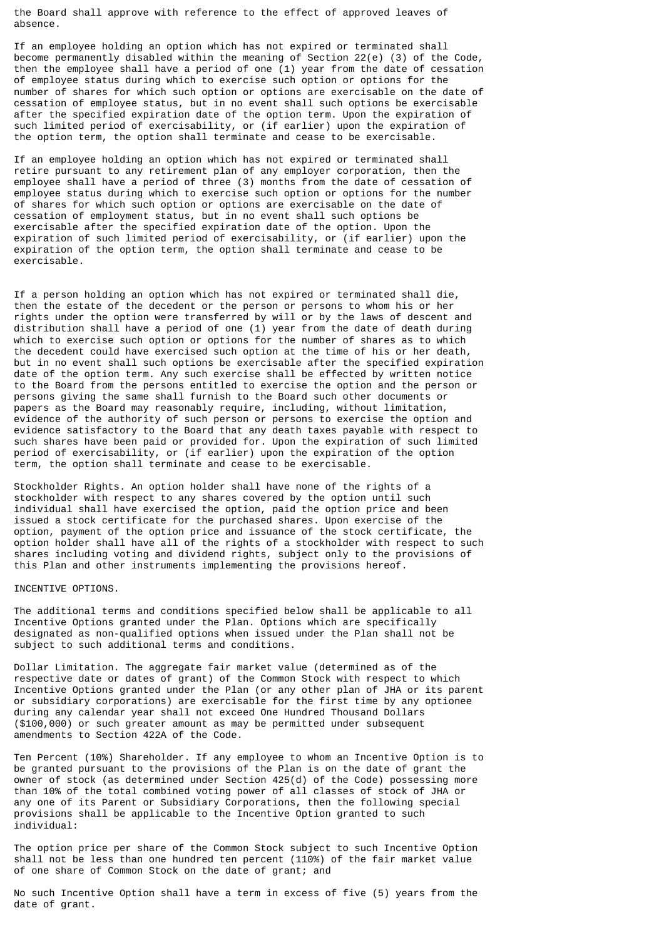the Board shall approve with reference to the effect of approved leaves of absence.

If an employee holding an option which has not expired or terminated shall become permanently disabled within the meaning of Section 22(e) (3) of the Code, then the employee shall have a period of one (1) year from the date of cessation of employee status during which to exercise such option or options for the number of shares for which such option or options are exercisable on the date of cessation of employee status, but in no event shall such options be exercisable after the specified expiration date of the option term. Upon the expiration of such limited period of exercisability, or (if earlier) upon the expiration of the option term, the option shall terminate and cease to be exercisable.

If an employee holding an option which has not expired or terminated shall retire pursuant to any retirement plan of any employer corporation, then the employee shall have a period of three (3) months from the date of cessation of employee status during which to exercise such option or options for the number of shares for which such option or options are exercisable on the date of cessation of employment status, but in no event shall such options be exercisable after the specified expiration date of the option. Upon the expiration of such limited period of exercisability, or (if earlier) upon the expiration of the option term, the option shall terminate and cease to be exercisable.

If a person holding an option which has not expired or terminated shall die, then the estate of the decedent or the person or persons to whom his or her rights under the option were transferred by will or by the laws of descent and distribution shall have a period of one (1) year from the date of death during which to exercise such option or options for the number of shares as to which the decedent could have exercised such option at the time of his or her death, but in no event shall such options be exercisable after the specified expiration date of the option term. Any such exercise shall be effected by written notice to the Board from the persons entitled to exercise the option and the person or persons giving the same shall furnish to the Board such other documents or papers as the Board may reasonably require, including, without limitation, evidence of the authority of such person or persons to exercise the option and evidence satisfactory to the Board that any death taxes payable with respect to such shares have been paid or provided for. Upon the expiration of such limited period of exercisability, or (if earlier) upon the expiration of the option term, the option shall terminate and cease to be exercisable.

Stockholder Rights. An option holder shall have none of the rights of a stockholder with respect to any shares covered by the option until such individual shall have exercised the option, paid the option price and been issued a stock certificate for the purchased shares. Upon exercise of the option, payment of the option price and issuance of the stock certificate, the option holder shall have all of the rights of a stockholder with respect to such shares including voting and dividend rights, subject only to the provisions of this Plan and other instruments implementing the provisions hereof.

## INCENTIVE OPTIONS.

The additional terms and conditions specified below shall be applicable to all Incentive Options granted under the Plan. Options which are specifically designated as non-qualified options when issued under the Plan shall not be subject to such additional terms and conditions.

Dollar Limitation. The aggregate fair market value (determined as of the respective date or dates of grant) of the Common Stock with respect to which Incentive Options granted under the Plan (or any other plan of JHA or its parent or subsidiary corporations) are exercisable for the first time by any optionee during any calendar year shall not exceed One Hundred Thousand Dollars (\$100,000) or such greater amount as may be permitted under subsequent amendments to Section 422A of the Code.

Ten Percent (10%) Shareholder. If any employee to whom an Incentive Option is to be granted pursuant to the provisions of the Plan is on the date of grant the owner of stock (as determined under Section 425(d) of the Code) possessing more than 10% of the total combined voting power of all classes of stock of JHA or any one of its Parent or Subsidiary Corporations, then the following special provisions shall be applicable to the Incentive Option granted to such individual:

The option price per share of the Common Stock subject to such Incentive Option shall not be less than one hundred ten percent (110%) of the fair market value of one share of Common Stock on the date of grant; and

No such Incentive Option shall have a term in excess of five (5) years from the date of grant.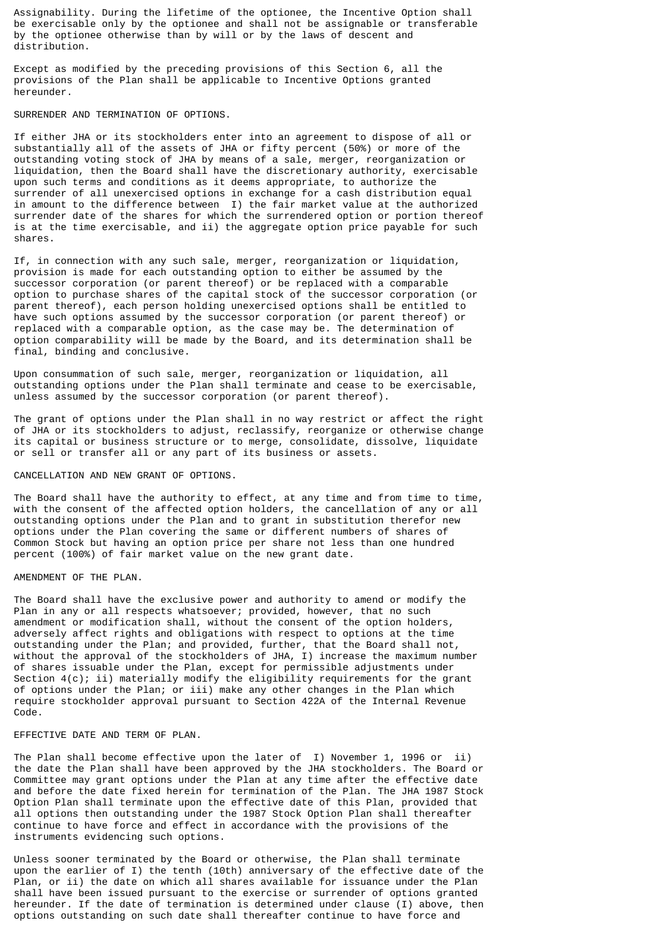Assignability. During the lifetime of the optionee, the Incentive Option shall be exercisable only by the optionee and shall not be assignable or transferable by the optionee otherwise than by will or by the laws of descent and distribution.

Except as modified by the preceding provisions of this Section 6, all the provisions of the Plan shall be applicable to Incentive Options granted hereunder.

# SURRENDER AND TERMINATION OF OPTIONS.

If either JHA or its stockholders enter into an agreement to dispose of all or substantially all of the assets of JHA or fifty percent (50%) or more of the outstanding voting stock of JHA by means of a sale, merger, reorganization or liquidation, then the Board shall have the discretionary authority, exercisable upon such terms and conditions as it deems appropriate, to authorize the surrender of all unexercised options in exchange for a cash distribution equal in amount to the difference between I) the fair market value at the authorized surrender date of the shares for which the surrendered option or portion thereof is at the time exercisable, and ii) the aggregate option price payable for such shares.

If, in connection with any such sale, merger, reorganization or liquidation, provision is made for each outstanding option to either be assumed by the successor corporation (or parent thereof) or be replaced with a comparable option to purchase shares of the capital stock of the successor corporation (or parent thereof), each person holding unexercised options shall be entitled to have such options assumed by the successor corporation (or parent thereof) or replaced with a comparable option, as the case may be. The determination of option comparability will be made by the Board, and its determination shall be final, binding and conclusive.

Upon consummation of such sale, merger, reorganization or liquidation, all outstanding options under the Plan shall terminate and cease to be exercisable, unless assumed by the successor corporation (or parent thereof).

The grant of options under the Plan shall in no way restrict or affect the right of JHA or its stockholders to adjust, reclassify, reorganize or otherwise change its capital or business structure or to merge, consolidate, dissolve, liquidate or sell or transfer all or any part of its business or assets.

# CANCELLATION AND NEW GRANT OF OPTIONS.

The Board shall have the authority to effect, at any time and from time to time, with the consent of the affected option holders, the cancellation of any or all outstanding options under the Plan and to grant in substitution therefor new options under the Plan covering the same or different numbers of shares of Common Stock but having an option price per share not less than one hundred percent (100%) of fair market value on the new grant date.

## AMENDMENT OF THE PLAN.

The Board shall have the exclusive power and authority to amend or modify the Plan in any or all respects whatsoever; provided, however, that no such amendment or modification shall, without the consent of the option holders, adversely affect rights and obligations with respect to options at the time outstanding under the Plan; and provided, further, that the Board shall not, without the approval of the stockholders of JHA, I) increase the maximum number of shares issuable under the Plan, except for permissible adjustments under Section 4(c); ii) materially modify the eligibility requirements for the grant of options under the Plan; or iii) make any other changes in the Plan which require stockholder approval pursuant to Section 422A of the Internal Revenue Code.

# EFFECTIVE DATE AND TERM OF PLAN.

The Plan shall become effective upon the later of I) November 1, 1996 or ii) the date the Plan shall have been approved by the JHA stockholders. The Board or Committee may grant options under the Plan at any time after the effective date and before the date fixed herein for termination of the Plan. The JHA 1987 Stock Option Plan shall terminate upon the effective date of this Plan, provided that all options then outstanding under the 1987 Stock Option Plan shall thereafter continue to have force and effect in accordance with the provisions of the instruments evidencing such options.

Unless sooner terminated by the Board or otherwise, the Plan shall terminate upon the earlier of I) the tenth (10th) anniversary of the effective date of the Plan, or ii) the date on which all shares available for issuance under the Plan shall have been issued pursuant to the exercise or surrender of options granted hereunder. If the date of termination is determined under clause (I) above, then options outstanding on such date shall thereafter continue to have force and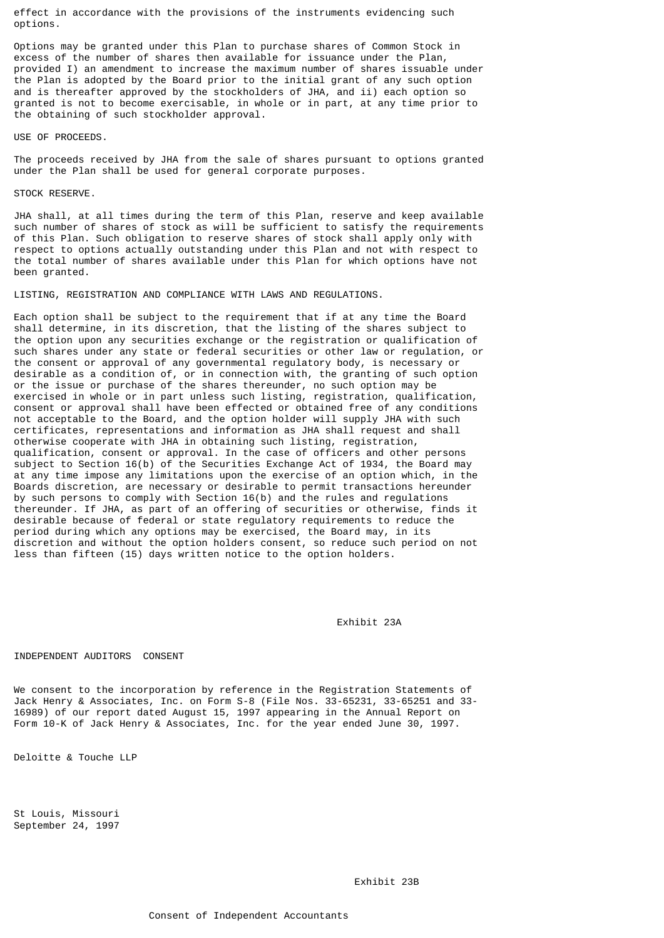effect in accordance with the provisions of the instruments evidencing such options.

Options may be granted under this Plan to purchase shares of Common Stock in excess of the number of shares then available for issuance under the Plan, provided I) an amendment to increase the maximum number of shares issuable under the Plan is adopted by the Board prior to the initial grant of any such option and is thereafter approved by the stockholders of JHA, and ii) each option so granted is not to become exercisable, in whole or in part, at any time prior to the obtaining of such stockholder approval.

## USE OF PROCEEDS.

The proceeds received by JHA from the sale of shares pursuant to options granted under the Plan shall be used for general corporate purposes.

## STOCK RESERVE.

JHA shall, at all times during the term of this Plan, reserve and keep available such number of shares of stock as will be sufficient to satisfy the requirements of this Plan. Such obligation to reserve shares of stock shall apply only with respect to options actually outstanding under this Plan and not with respect to the total number of shares available under this Plan for which options have not been granted.

LISTING, REGISTRATION AND COMPLIANCE WITH LAWS AND REGULATIONS.

Each option shall be subject to the requirement that if at any time the Board shall determine, in its discretion, that the listing of the shares subject to the option upon any securities exchange or the registration or qualification of such shares under any state or federal securities or other law or regulation, or the consent or approval of any governmental regulatory body, is necessary or desirable as a condition of, or in connection with, the granting of such option or the issue or purchase of the shares thereunder, no such option may be exercised in whole or in part unless such listing, registration, qualification, consent or approval shall have been effected or obtained free of any conditions not acceptable to the Board, and the option holder will supply JHA with such certificates, representations and information as JHA shall request and shall otherwise cooperate with JHA in obtaining such listing, registration, qualification, consent or approval. In the case of officers and other persons subject to Section 16(b) of the Securities Exchange Act of 1934, the Board may at any time impose any limitations upon the exercise of an option which, in the Boards discretion, are necessary or desirable to permit transactions hereunder by such persons to comply with Section 16(b) and the rules and regulations thereunder. If JHA, as part of an offering of securities or otherwise, finds it desirable because of federal or state regulatory requirements to reduce the period during which any options may be exercised, the Board may, in its discretion and without the option holders consent, so reduce such period on not less than fifteen (15) days written notice to the option holders.

Exhibit 23A

## INDEPENDENT AUDITORS CONSENT

We consent to the incorporation by reference in the Registration Statements of Jack Henry & Associates, Inc. on Form S-8 (File Nos. 33-65231, 33-65251 and 33- 16989) of our report dated August 15, 1997 appearing in the Annual Report on Form 10-K of Jack Henry & Associates, Inc. for the year ended June 30, 1997.

Deloitte & Touche LLP

St Louis, Missouri September 24, 1997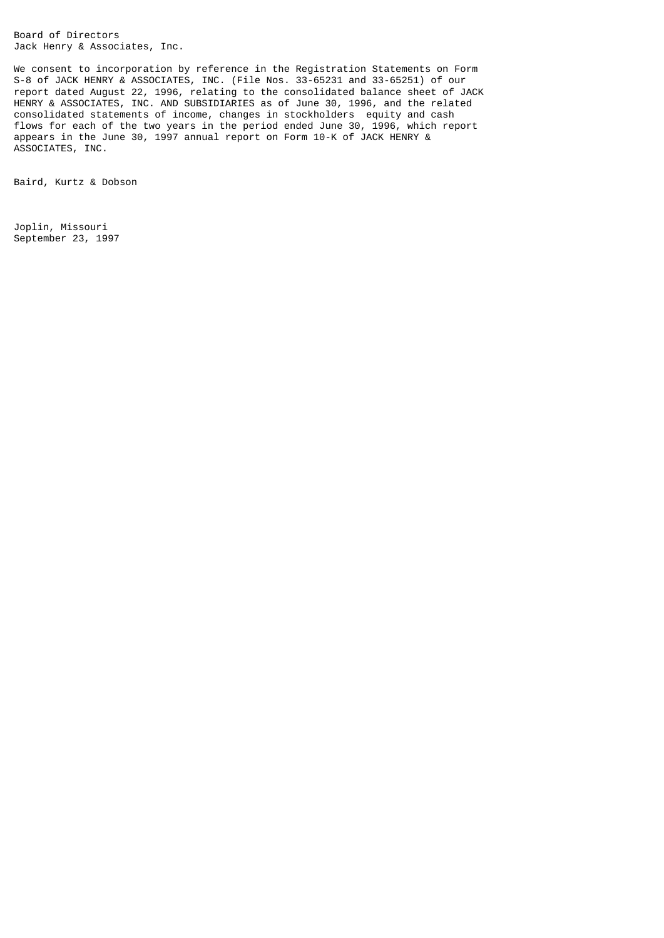Board of Directors Jack Henry & Associates, Inc.

We consent to incorporation by reference in the Registration Statements on Form S-8 of JACK HENRY & ASSOCIATES, INC. (File Nos. 33-65231 and 33-65251) of our report dated August 22, 1996, relating to the consolidated balance sheet of JACK HENRY & ASSOCIATES, INC. AND SUBSIDIARIES as of June 30, 1996, and the related consolidated statements of income, changes in stockholders equity and cash flows for each of the two years in the period ended June 30, 1996, which report appears in the June 30, 1997 annual report on Form 10-K of JACK HENRY & ASSOCIATES, INC.

Baird, Kurtz & Dobson

Joplin, Missouri September 23, 1997